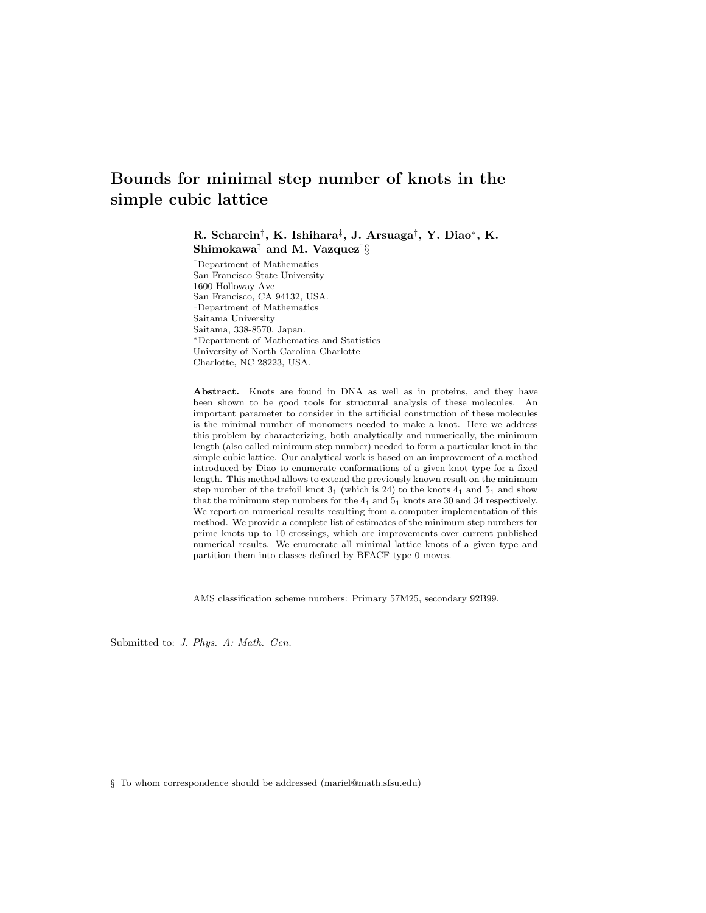# Bounds for minimal step number of knots in the simple cubic lattice

R. Scharein<sup>†</sup>, K. Ishihara<sup>‡</sup>, J. Arsuaga<sup>†</sup>, Y. Diao\*, K. Shimokawa $^\ddagger$  and M. Vazquez $^\dagger\S$ 

†Department of Mathematics San Francisco State University 1600 Holloway Ave San Francisco, CA 94132, USA. ‡Department of Mathematics Saitama University Saitama, 338-8570, Japan. <sup>∗</sup>Department of Mathematics and Statistics University of North Carolina Charlotte Charlotte, NC 28223, USA.

Abstract. Knots are found in DNA as well as in proteins, and they have been shown to be good tools for structural analysis of these molecules. An important parameter to consider in the artificial construction of these molecules is the minimal number of monomers needed to make a knot. Here we address this problem by characterizing, both analytically and numerically, the minimum length (also called minimum step number) needed to form a particular knot in the simple cubic lattice. Our analytical work is based on an improvement of a method introduced by Diao to enumerate conformations of a given knot type for a fixed length. This method allows to extend the previously known result on the minimum step number of the trefoil knot  $3<sub>1</sub>$  (which is 24) to the knots  $4<sub>1</sub>$  and  $5<sub>1</sub>$  and show that the minimum step numbers for the  $4<sub>1</sub>$  and  $5<sub>1</sub>$  knots are 30 and 34 respectively. We report on numerical results resulting from a computer implementation of this method. We provide a complete list of estimates of the minimum step numbers for prime knots up to 10 crossings, which are improvements over current published numerical results. We enumerate all minimal lattice knots of a given type and partition them into classes defined by BFACF type 0 moves.

AMS classification scheme numbers: Primary 57M25, secondary 92B99.

Submitted to: J. Phys. A: Math. Gen.

§ To whom correspondence should be addressed (mariel@math.sfsu.edu)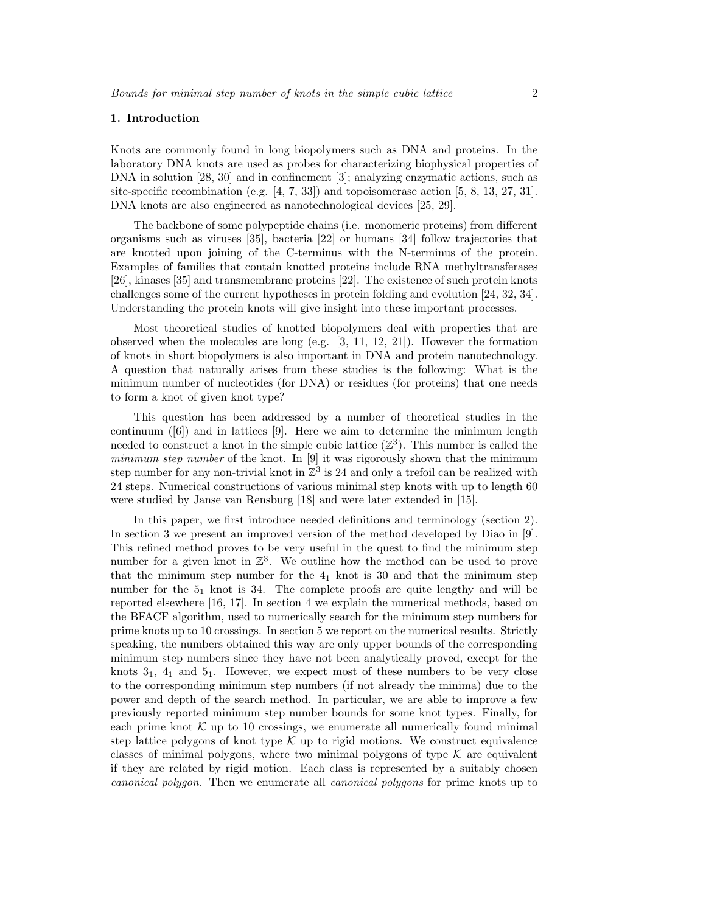## 1. Introduction

Knots are commonly found in long biopolymers such as DNA and proteins. In the laboratory DNA knots are used as probes for characterizing biophysical properties of DNA in solution [28, 30] and in confinement [3]; analyzing enzymatic actions, such as site-specific recombination (e.g. [4, 7, 33]) and topoisomerase action [5, 8, 13, 27, 31]. DNA knots are also engineered as nanotechnological devices [25, 29].

The backbone of some polypeptide chains (i.e. monomeric proteins) from different organisms such as viruses [35], bacteria [22] or humans [34] follow trajectories that are knotted upon joining of the C-terminus with the N-terminus of the protein. Examples of families that contain knotted proteins include RNA methyltransferases [26], kinases [35] and transmembrane proteins [22]. The existence of such protein knots challenges some of the current hypotheses in protein folding and evolution [24, 32, 34]. Understanding the protein knots will give insight into these important processes.

Most theoretical studies of knotted biopolymers deal with properties that are observed when the molecules are long (e.g.  $[3, 11, 12, 21]$ ). However the formation of knots in short biopolymers is also important in DNA and protein nanotechnology. A question that naturally arises from these studies is the following: What is the minimum number of nucleotides (for DNA) or residues (for proteins) that one needs to form a knot of given knot type?

This question has been addressed by a number of theoretical studies in the continuum  $([6])$  and in lattices [9]. Here we aim to determine the minimum length needed to construct a knot in the simple cubic lattice  $(\mathbb{Z}^3)$ . This number is called the minimum step number of the knot. In [9] it was rigorously shown that the minimum step number for any non-trivial knot in  $\mathbb{Z}^3$  is 24 and only a trefoil can be realized with 24 steps. Numerical constructions of various minimal step knots with up to length 60 were studied by Janse van Rensburg [18] and were later extended in [15].

In this paper, we first introduce needed definitions and terminology (section 2). In section 3 we present an improved version of the method developed by Diao in [9]. This refined method proves to be very useful in the quest to find the minimum step number for a given knot in  $\mathbb{Z}^3$ . We outline how the method can be used to prove that the minimum step number for the  $4<sub>1</sub>$  knot is 30 and that the minimum step number for the  $5<sub>1</sub>$  knot is 34. The complete proofs are quite lengthy and will be reported elsewhere [16, 17]. In section 4 we explain the numerical methods, based on the BFACF algorithm, used to numerically search for the minimum step numbers for prime knots up to 10 crossings. In section 5 we report on the numerical results. Strictly speaking, the numbers obtained this way are only upper bounds of the corresponding minimum step numbers since they have not been analytically proved, except for the knots  $3<sub>1</sub>$ ,  $4<sub>1</sub>$  and  $5<sub>1</sub>$ . However, we expect most of these numbers to be very close to the corresponding minimum step numbers (if not already the minima) due to the power and depth of the search method. In particular, we are able to improve a few previously reported minimum step number bounds for some knot types. Finally, for each prime knot  $\mathcal K$  up to 10 crossings, we enumerate all numerically found minimal step lattice polygons of knot type  $K$  up to rigid motions. We construct equivalence classes of minimal polygons, where two minimal polygons of type  $K$  are equivalent if they are related by rigid motion. Each class is represented by a suitably chosen canonical polygon. Then we enumerate all canonical polygons for prime knots up to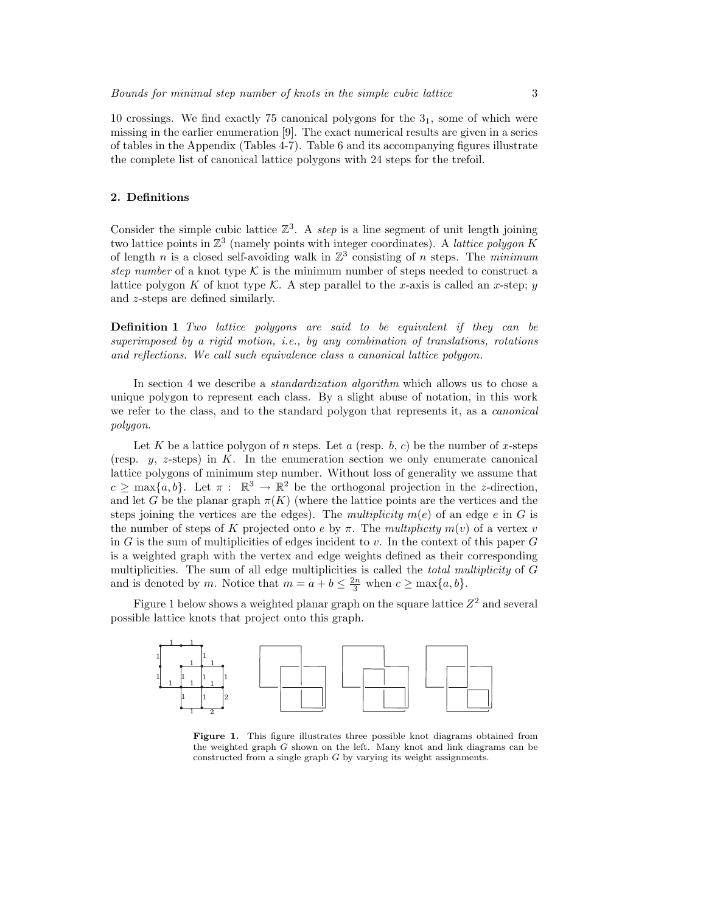10 crossings. We find exactly 75 canonical polygons for the  $3<sub>1</sub>$ , some of which were missing in the earlier enumeration [9]. The exact numerical results are given in a series of tables in the Appendix (Tables 4-7). Table 6 and its accompanying figures illustrate the complete list of canonical lattice polygons with 24 steps for the trefoil.

## 2. Definitions

Consider the simple cubic lattice  $\mathbb{Z}^3$ . A step is a line segment of unit length joining two lattice points in  $\mathbb{Z}^3$  (namely points with integer coordinates). A *lattice polygon K* of length n is a closed self-avoiding walk in  $\mathbb{Z}^3$  consisting of n steps. The minimum step number of a knot type  $\mathcal K$  is the minimum number of steps needed to construct a lattice polygon K of knot type K. A step parallel to the x-axis is called an x-step; y and z-steps are defined similarly.

Definition 1 Two lattice polygons are said to be equivalent if they can be superimposed by a rigid motion, i.e., by any combination of translations, rotations and reflections. We call such equivalence class a canonical lattice polygon.

In section 4 we describe a *standardization algorithm* which allows us to chose a unique polygon to represent each class. By a slight abuse of notation, in this work we refer to the class, and to the standard polygon that represents it, as a canonical polygon.

Let K be a lattice polygon of n steps. Let a (resp. b, c) be the number of x-steps (resp.  $y$ , z-steps) in K. In the enumeration section we only enumerate canonical lattice polygons of minimum step number. Without loss of generality we assume that  $c \ge \max\{a, b\}$ . Let  $\pi : \mathbb{R}^3 \to \mathbb{R}^2$  be the orthogonal projection in the *z*-direction, and let G be the planar graph  $\pi(K)$  (where the lattice points are the vertices and the steps joining the vertices are the edges). The multiplicity  $m(e)$  of an edge e in G is the number of steps of K projected onto e by  $\pi$ . The multiplicity  $m(v)$  of a vertex v in G is the sum of multiplicities of edges incident to v. In the context of this paper  $G$ is a weighted graph with the vertex and edge weights defined as their corresponding multiplicities. The sum of all edge multiplicities is called the *total multiplicity* of G and is denoted by m. Notice that  $m = a + b \leq \frac{2n}{3}$  when  $c \geq \max\{a, b\}.$ 

Figure 1 below shows a weighted planar graph on the square lattice  $Z^2$  and several possible lattice knots that project onto this graph.



Figure 1. This figure illustrates three possible knot diagrams obtained from the weighted graph G shown on the left. Many knot and link diagrams can be constructed from a single graph G by varying its weight assignments.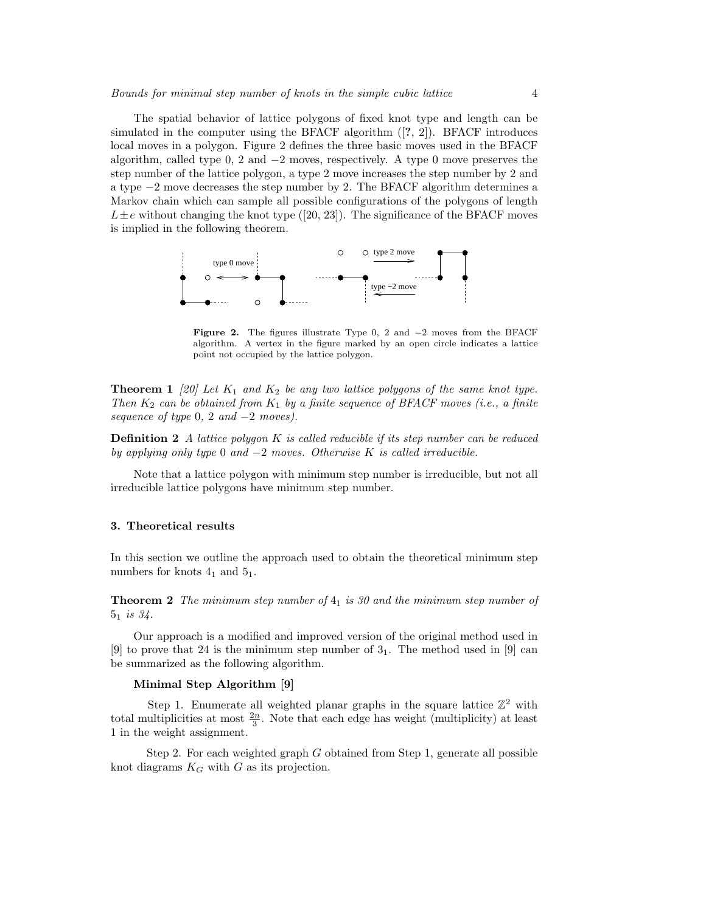The spatial behavior of lattice polygons of fixed knot type and length can be simulated in the computer using the BFACF algorithm  $(2, 2)$ . BFACF introduces local moves in a polygon. Figure 2 defines the three basic moves used in the BFACF algorithm, called type 0, 2 and  $-2$  moves, respectively. A type 0 move preserves the step number of the lattice polygon, a type 2 move increases the step number by 2 and a type −2 move decreases the step number by 2. The BFACF algorithm determines a Markov chain which can sample all possible configurations of the polygons of length  $L \pm e$  without changing the knot type ([20, 23]). The significance of the BFACF moves is implied in the following theorem.



Figure 2. The figures illustrate Type 0, 2 and −2 moves from the BFACF algorithm. A vertex in the figure marked by an open circle indicates a lattice point not occupied by the lattice polygon.

**Theorem 1** [20] Let  $K_1$  and  $K_2$  be any two lattice polygons of the same knot type. Then  $K_2$  can be obtained from  $K_1$  by a finite sequence of BFACF moves (i.e., a finite sequence of type  $0, 2$  and  $-2$  moves).

**Definition 2** A lattice polygon K is called reducible if its step number can be reduced by applying only type 0 and  $-2$  moves. Otherwise K is called irreducible.

Note that a lattice polygon with minimum step number is irreducible, but not all irreducible lattice polygons have minimum step number.

## 3. Theoretical results

In this section we outline the approach used to obtain the theoretical minimum step numbers for knots  $4<sub>1</sub>$  and  $5<sub>1</sub>$ .

**Theorem 2** The minimum step number of  $4<sub>1</sub>$  is 30 and the minimum step number of  $5_1$  is  $34$ .

Our approach is a modified and improved version of the original method used in [9] to prove that 24 is the minimum step number of  $3<sub>1</sub>$ . The method used in [9] can be summarized as the following algorithm.

## Minimal Step Algorithm [9]

Step 1. Enumerate all weighted planar graphs in the square lattice  $\mathbb{Z}^2$  with total multiplicities at most  $\frac{2n}{3}$ . Note that each edge has weight (multiplicity) at least 1 in the weight assignment.

Step 2. For each weighted graph  $G$  obtained from Step 1, generate all possible knot diagrams  $K_G$  with  $G$  as its projection.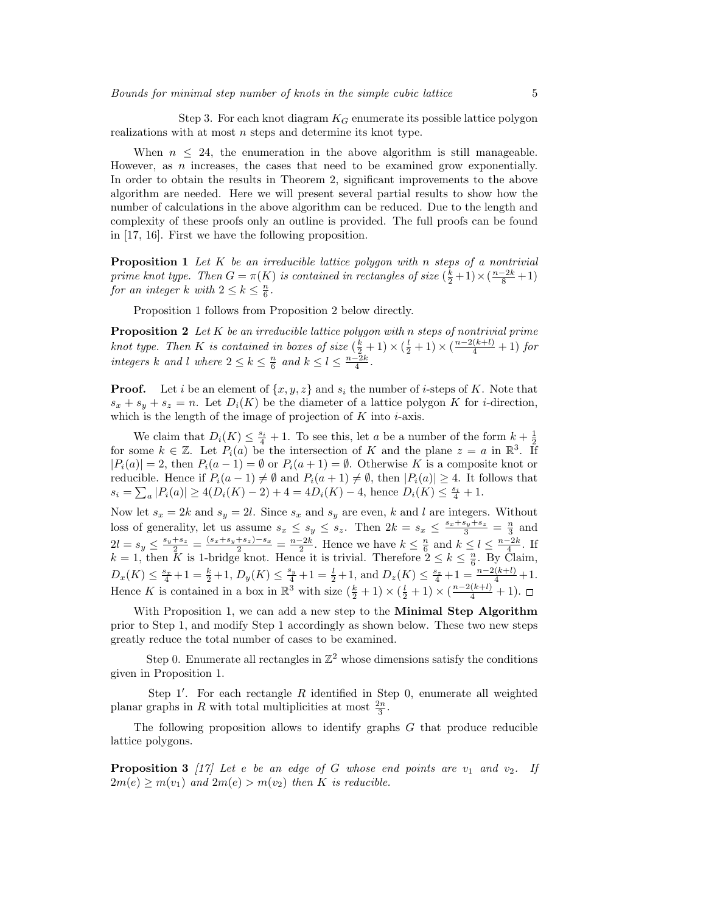Step 3. For each knot diagram  $K_G$  enumerate its possible lattice polygon realizations with at most  $n$  steps and determine its knot type.

When  $n \leq 24$ , the enumeration in the above algorithm is still manageable. However, as  $n$  increases, the cases that need to be examined grow exponentially. In order to obtain the results in Theorem 2, significant improvements to the above algorithm are needed. Here we will present several partial results to show how the number of calculations in the above algorithm can be reduced. Due to the length and complexity of these proofs only an outline is provided. The full proofs can be found in [17, 16]. First we have the following proposition.

**Proposition 1** Let  $K$  be an irreducible lattice polygon with n steps of a nontrivial prime knot type. Then  $G = \pi(K)$  is contained in rectangles of size  $(\frac{k}{2} + 1) \times (\frac{n-2k}{8} + 1)$ for an integer k with  $2 \leq k \leq \frac{n}{6}$ .

Proposition 1 follows from Proposition 2 below directly.

**Proposition 2** Let K be an irreducible lattice polygon with n steps of nontrivial prime knot type. Then K is contained in boxes of size  $(\frac{k}{2}+1) \times (\frac{l}{2}+1) \times (\frac{n-2(k+l)}{4}+1)$  for integers k and l where  $2 \leq k \leq \frac{n}{6}$  and  $k \leq l \leq \frac{n-2k}{4}$ .

**Proof.** Let i be an element of  $\{x, y, z\}$  and  $s_i$  the number of i-steps of K. Note that  $s_x + s_y + s_z = n$ . Let  $D_i(K)$  be the diameter of a lattice polygon K for *i*-direction, which is the length of the image of projection of  $K$  into  $i$ -axis.

We claim that  $D_i(K) \leq \frac{s_i}{4} + 1$ . To see this, let a be a number of the form  $k + \frac{1}{2}$ for some  $k \in \mathbb{Z}$ . Let  $P_i(a)$  be the intersection of K and the plane  $z = a$  in  $\mathbb{R}^3$ . If  $|P_i(a)| = 2$ , then  $P_i(a-1) = \emptyset$  or  $P_i(a+1) = \emptyset$ . Otherwise K is a composite knot or reducible. Hence if  $P_i(a-1) \neq \emptyset$  and  $P_i(a+1) \neq \emptyset$ , then  $|P_i(a)| \geq 4$ . It follows that  $s_i = \sum_a |P_i(a)| \ge 4(D_i(K) - 2) + 4 = 4D_i(K) - 4$ , hence  $D_i(K) \le \frac{s_i}{4} + 1$ .

Now let  $s_x = 2k$  and  $s_y = 2l$ . Since  $s_x$  and  $s_y$  are even, k and l are integers. Without loss of generality, let us assume  $s_x \leq s_y \leq s_z$ . Then  $2k = s_x \leq \frac{s_x + s_y + s_z}{3} = \frac{n}{3}$  and  $2l = s_y \le \frac{s_y + s_z}{2} = \frac{(s_x + s_y + s_z) - s_x}{2} = \frac{n - 2k}{2}$ . Hence we have  $k \le \frac{n}{6}$  and  $k \le l \le \frac{n - 2k}{4}$ . If  $k = 1$ , then  $K$  is 1-bridge knot. Hence it is trivial. Therefore  $2 \le k \le \frac{n}{6}$ . By Claim,  $D_x(K) \leq \frac{s_x}{4} + 1 = \frac{k}{2} + 1, D_y(K) \leq \frac{s_y}{4} + 1 = \frac{l}{2} + 1, \text{ and } D_z(K) \leq \frac{s_z}{4} + 1 = \frac{n - 2(k + l)}{4} + 1.$ Hence K is contained in a box in  $\mathbb{R}^3$  with size  $(\frac{k}{2} + 1) \times (\frac{l}{2} + 1) \times (\frac{n-2(k+l)}{4} + 1)$ .

With Proposition 1, we can add a new step to the **Minimal Step Algorithm** prior to Step 1, and modify Step 1 accordingly as shown below. These two new steps greatly reduce the total number of cases to be examined.

Step 0. Enumerate all rectangles in  $\mathbb{Z}^2$  whose dimensions satisfy the conditions given in Proposition 1.

Step 1'. For each rectangle  $R$  identified in Step 0, enumerate all weighted planar graphs in R with total multiplicities at most  $\frac{2n}{3}$ .

The following proposition allows to identify graphs G that produce reducible lattice polygons.

**Proposition 3** [17] Let e be an edge of G whose end points are  $v_1$  and  $v_2$ . If  $2m(e) \geq m(v_1)$  and  $2m(e) > m(v_2)$  then K is reducible.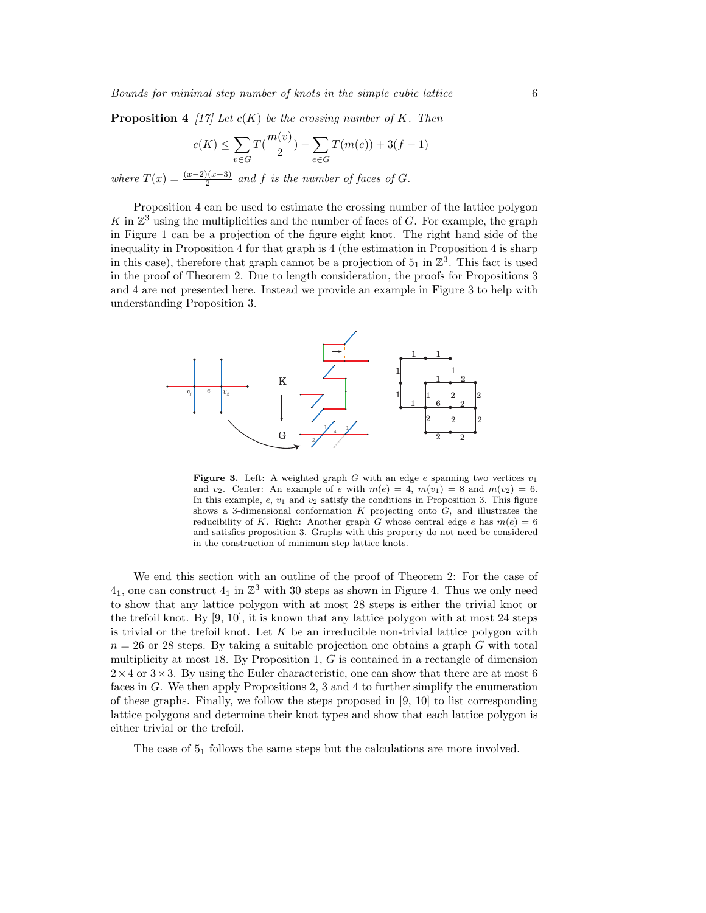**Proposition 4** [17] Let  $c(K)$  be the crossing number of K. Then

$$
c(K) \le \sum_{v \in G} T(\frac{m(v)}{2}) - \sum_{e \in G} T(m(e)) + 3(f - 1)
$$

where  $T(x) = \frac{(x-2)(x-3)}{2}$  and f is the number of faces of G.

Proposition 4 can be used to estimate the crossing number of the lattice polygon K in  $\mathbb{Z}^3$  using the multiplicities and the number of faces of G. For example, the graph in Figure 1 can be a projection of the figure eight knot. The right hand side of the inequality in Proposition 4 for that graph is 4 (the estimation in Proposition 4 is sharp in this case), therefore that graph cannot be a projection of  $5<sub>1</sub>$  in  $\mathbb{Z}^3$ . This fact is used in the proof of Theorem 2. Due to length consideration, the proofs for Propositions 3 and 4 are not presented here. Instead we provide an example in Figure 3 to help with understanding Proposition 3.



**Figure 3.** Left: A weighted graph G with an edge e spanning two vertices  $v_1$ and  $v_2$ . Center: An example of e with  $m(e) = 4$ ,  $m(v_1) = 8$  and  $m(v_2) = 6$ . In this example,  $e, v_1$  and  $v_2$  satisfy the conditions in Proposition 3. This figure shows a 3-dimensional conformation  $K$  projecting onto  $G$ , and illustrates the reducibility of K. Right: Another graph G whose central edge e has  $m(e) = 6$ and satisfies proposition 3. Graphs with this property do not need be considered in the construction of minimum step lattice knots.

We end this section with an outline of the proof of Theorem 2: For the case of  $4<sub>1</sub>$ , one can construct  $4<sub>1</sub>$  in  $\mathbb{Z}^3$  with 30 steps as shown in Figure 4. Thus we only need to show that any lattice polygon with at most 28 steps is either the trivial knot or the trefoil knot. By [9, 10], it is known that any lattice polygon with at most 24 steps is trivial or the trefoil knot. Let K be an irreducible non-trivial lattice polygon with  $n = 26$  or 28 steps. By taking a suitable projection one obtains a graph G with total multiplicity at most 18. By Proposition 1,  $G$  is contained in a rectangle of dimension  $2\times4$  or  $3\times3$ . By using the Euler characteristic, one can show that there are at most 6 faces in G. We then apply Propositions 2, 3 and 4 to further simplify the enumeration of these graphs. Finally, we follow the steps proposed in [9, 10] to list corresponding lattice polygons and determine their knot types and show that each lattice polygon is either trivial or the trefoil.

The case of  $5<sub>1</sub>$  follows the same steps but the calculations are more involved.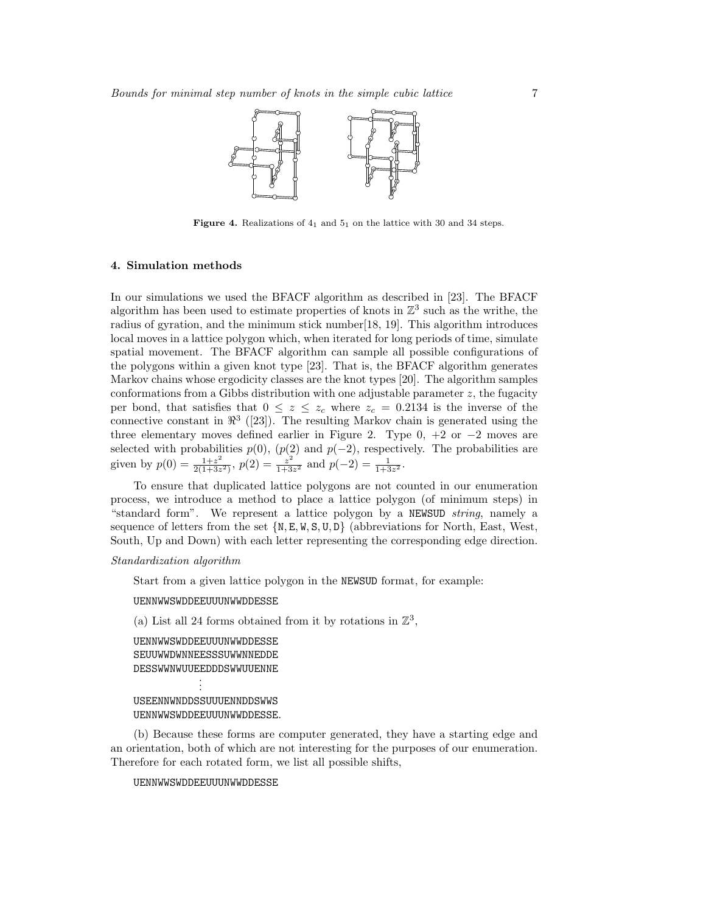

Figure 4. Realizations of  $4<sub>1</sub>$  and  $5<sub>1</sub>$  on the lattice with 30 and 34 steps.

## 4. Simulation methods

In our simulations we used the BFACF algorithm as described in [23]. The BFACF algorithm has been used to estimate properties of knots in  $\mathbb{Z}^3$  such as the writhe, the radius of gyration, and the minimum stick number[18, 19]. This algorithm introduces local moves in a lattice polygon which, when iterated for long periods of time, simulate spatial movement. The BFACF algorithm can sample all possible configurations of the polygons within a given knot type [23]. That is, the BFACF algorithm generates Markov chains whose ergodicity classes are the knot types [20]. The algorithm samples conformations from a Gibbs distribution with one adjustable parameter  $z$ , the fugacity per bond, that satisfies that  $0 \leq z \leq z_c$  where  $z_c = 0.2134$  is the inverse of the connective constant in  $\mathbb{R}^3$  ([23]). The resulting Markov chain is generated using the three elementary moves defined earlier in Figure 2. Type  $0, +2$  or  $-2$  moves are selected with probabilities  $p(0), (p(2) \text{ and } p(-2))$ , respectively. The probabilities are given by  $p(0) = \frac{1+z^2}{2(1+z^2)}$  $\frac{1+z^2}{2(1+3z^2)}$ ,  $p(2) = \frac{z^2}{1+3}$  $\frac{z^2}{1+3z^2}$  and  $p(-2) = \frac{1}{1+3z^2}$ .

To ensure that duplicated lattice polygons are not counted in our enumeration process, we introduce a method to place a lattice polygon (of minimum steps) in "standard form". We represent a lattice polygon by a NEWSUD string, namely a sequence of letters from the set  $\{N, E, W, S, U, D\}$  (abbreviations for North, East, West, South, Up and Down) with each letter representing the corresponding edge direction.

## Standardization algorithm

Start from a given lattice polygon in the NEWSUD format, for example:

UENNWWSWDDEEUUUNWWDDESSE

(a) List all 24 forms obtained from it by rotations in  $\mathbb{Z}^3$ ,

```
UENNWWSWDDEEUUUNWWDDESSE
SEUUWWDWNNEESSSUWWNNEDDE
DESSWWNWUUEEDDDSWWUUENNE
           .
```
. .

USEENNWNDDSSUUUENNDDSWWS UENNWWSWDDEEUUUNWWDDESSE.

(b) Because these forms are computer generated, they have a starting edge and an orientation, both of which are not interesting for the purposes of our enumeration. Therefore for each rotated form, we list all possible shifts,

## UENNWWSWDDEEUUUNWWDDESSE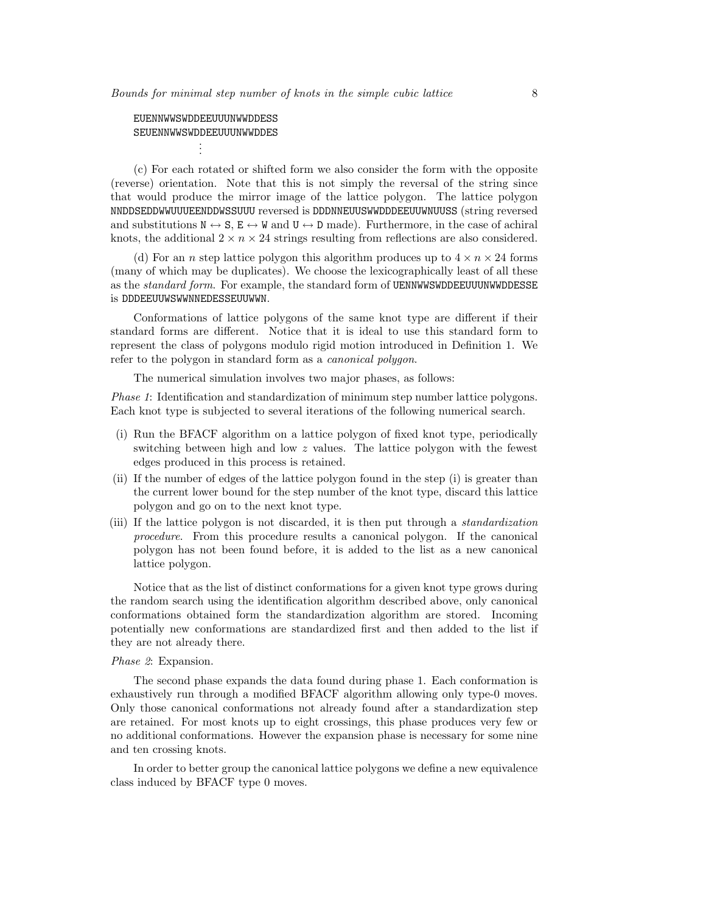```
EUENNWWSWDDEEUUUNWWDDESS
SEUENNWWSWDDEEUUUNWWDDES
           .
```
. .

(c) For each rotated or shifted form we also consider the form with the opposite (reverse) orientation. Note that this is not simply the reversal of the string since that would produce the mirror image of the lattice polygon. The lattice polygon NNDDSEDDWWUUUEENDDWSSUUU reversed is DDDNNEUUSWWDDDEEUUWNUUSS (string reversed and substitutions  $\mathbb{N} \leftrightarrow \mathbb{S}$ ,  $\mathbb{E} \leftrightarrow \mathbb{V}$  and  $\mathbb{U} \leftrightarrow \mathbb{D}$  made). Furthermore, in the case of achiral knots, the additional  $2 \times n \times 24$  strings resulting from reflections are also considered.

(d) For an *n* step lattice polygon this algorithm produces up to  $4 \times n \times 24$  forms (many of which may be duplicates). We choose the lexicographically least of all these as the *standard form*. For example, the standard form of UENNWWSWDDEEUUUNWWDDESSE is DDDEEUUWSWWNNEDESSEUUWWN.

Conformations of lattice polygons of the same knot type are different if their standard forms are different. Notice that it is ideal to use this standard form to represent the class of polygons modulo rigid motion introduced in Definition 1. We refer to the polygon in standard form as a *canonical polygon*.

The numerical simulation involves two major phases, as follows:

Phase 1: Identification and standardization of minimum step number lattice polygons. Each knot type is subjected to several iterations of the following numerical search.

- (i) Run the BFACF algorithm on a lattice polygon of fixed knot type, periodically switching between high and low z values. The lattice polygon with the fewest edges produced in this process is retained.
- (ii) If the number of edges of the lattice polygon found in the step (i) is greater than the current lower bound for the step number of the knot type, discard this lattice polygon and go on to the next knot type.
- (iii) If the lattice polygon is not discarded, it is then put through a standardization procedure. From this procedure results a canonical polygon. If the canonical polygon has not been found before, it is added to the list as a new canonical lattice polygon.

Notice that as the list of distinct conformations for a given knot type grows during the random search using the identification algorithm described above, only canonical conformations obtained form the standardization algorithm are stored. Incoming potentially new conformations are standardized first and then added to the list if they are not already there.

#### Phase 2: Expansion.

The second phase expands the data found during phase 1. Each conformation is exhaustively run through a modified BFACF algorithm allowing only type-0 moves. Only those canonical conformations not already found after a standardization step are retained. For most knots up to eight crossings, this phase produces very few or no additional conformations. However the expansion phase is necessary for some nine and ten crossing knots.

In order to better group the canonical lattice polygons we define a new equivalence class induced by BFACF type 0 moves.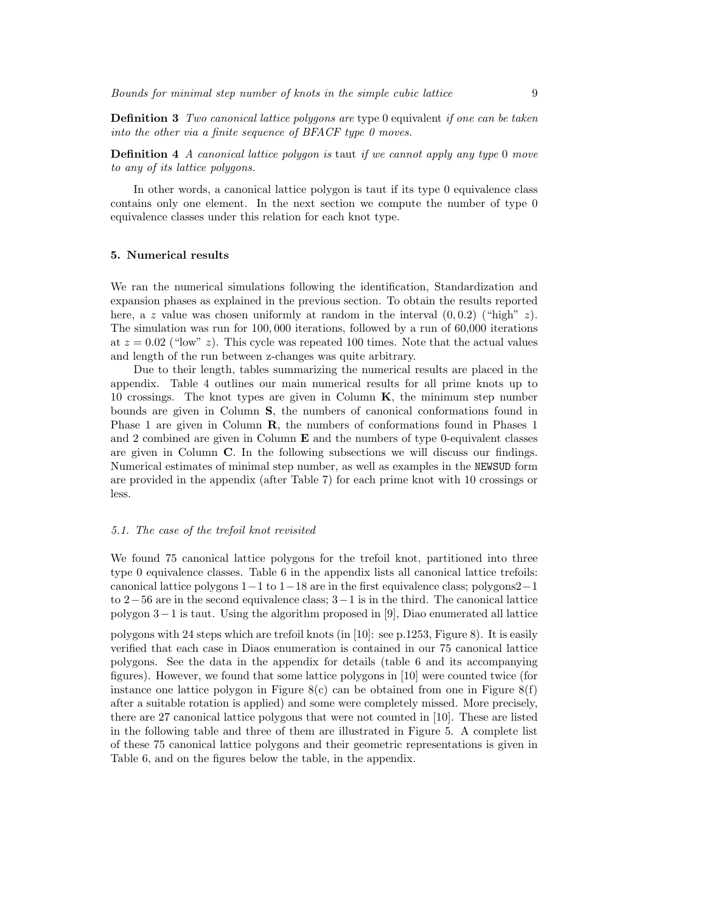**Definition 3** Two canonical lattice polygons are type 0 equivalent if one can be taken into the other via a finite sequence of BFACF type 0 moves.

**Definition 4** A canonical lattice polygon is taut if we cannot apply any type 0 move to any of its lattice polygons.

In other words, a canonical lattice polygon is taut if its type 0 equivalence class contains only one element. In the next section we compute the number of type 0 equivalence classes under this relation for each knot type.

#### 5. Numerical results

We ran the numerical simulations following the identification, Standardization and expansion phases as explained in the previous section. To obtain the results reported here, a z value was chosen uniformly at random in the interval  $(0, 0.2)$  ("high" z). The simulation was run for 100,000 iterations, followed by a run of 60,000 iterations at  $z = 0.02$  ("low" z). This cycle was repeated 100 times. Note that the actual values and length of the run between z-changes was quite arbitrary.

Due to their length, tables summarizing the numerical results are placed in the appendix. Table 4 outlines our main numerical results for all prime knots up to 10 crossings. The knot types are given in Column  $K$ , the minimum step number bounds are given in Column S, the numbers of canonical conformations found in Phase 1 are given in Column **R**, the numbers of conformations found in Phases 1 and 2 combined are given in Column  $E$  and the numbers of type 0-equivalent classes are given in Column C. In the following subsections we will discuss our findings. Numerical estimates of minimal step number, as well as examples in the NEWSUD form are provided in the appendix (after Table 7) for each prime knot with 10 crossings or less.

## 5.1. The case of the trefoil knot revisited

We found 75 canonical lattice polygons for the trefoil knot, partitioned into three type 0 equivalence classes. Table 6 in the appendix lists all canonical lattice trefoils: canonical lattice polygons  $1-1$  to  $1-18$  are in the first equivalence class; polygons  $2-1$ to 2−56 are in the second equivalence class; 3−1 is in the third. The canonical lattice polygon 3−1 is taut. Using the algorithm proposed in [9], Diao enumerated all lattice

polygons with 24 steps which are trefoil knots (in [10]: see p.1253, Figure 8). It is easily verified that each case in Diaos enumeration is contained in our 75 canonical lattice polygons. See the data in the appendix for details (table 6 and its accompanying figures). However, we found that some lattice polygons in [10] were counted twice (for instance one lattice polygon in Figure  $8(c)$  can be obtained from one in Figure  $8(f)$ after a suitable rotation is applied) and some were completely missed. More precisely, there are 27 canonical lattice polygons that were not counted in [10]. These are listed in the following table and three of them are illustrated in Figure 5. A complete list of these 75 canonical lattice polygons and their geometric representations is given in Table 6, and on the figures below the table, in the appendix.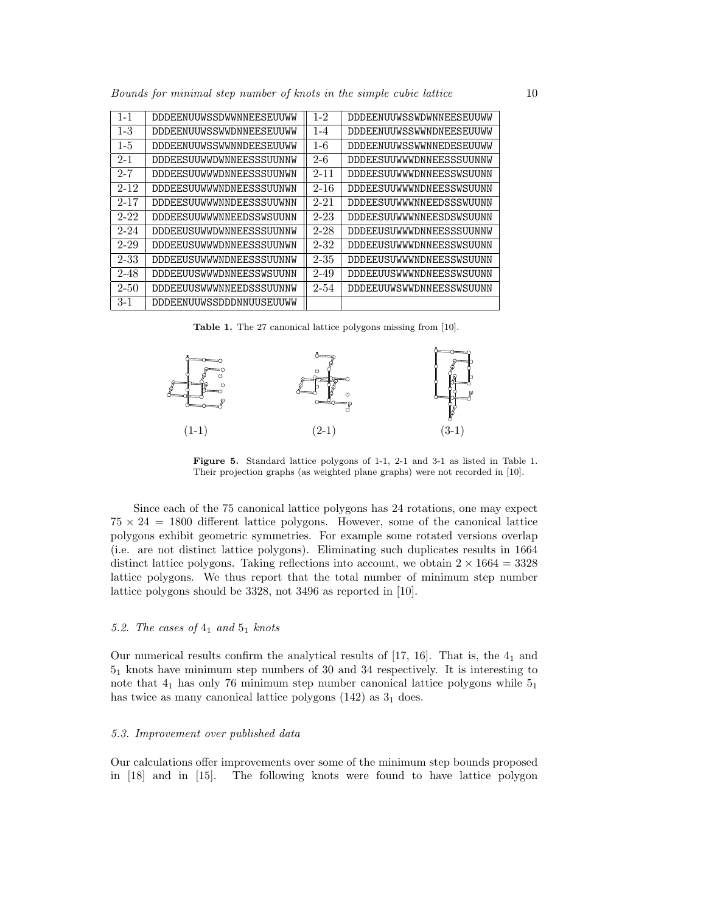Bounds for minimal step number of knots in the simple cubic lattice 10

| $1 - 1$  | DDDEENUUWSSDWWNNEESEUUWW        | $1 - 2$  | DDDEENUUWSSWDWNNEESEUUWW |
|----------|---------------------------------|----------|--------------------------|
| $1 - 3$  | DDDEENUUWSSWWDNNEESEUUWW        | $1 - 4$  | DDDEENUUWSSWWNDNEESEUUWW |
| $1-5$    | <b>DDDEENUUWSSWWNNDEESEUUWW</b> | $1-6$    | DDDEENUUWSSWWNNEDESEUUWW |
| $2 - 1$  | DDDEESUUWWDWNNEESSSUUNNW        | $2 - 6$  | DDDEESUUWWWDNNEESSSUUNNW |
| $2 - 7$  | DDDEESUUWWWDNNEESSSUUNWN        | $2 - 11$ | DDDEESUUWWWDNNEESSWSUUNN |
| $2 - 12$ | DDDEESUUWWWNDNEESSSUUNWN        | $2 - 16$ | DDDEESUUWWWNDNEESSWSUUNN |
| $2 - 17$ | DDDEESUUWWWNNDEESSSUUWNN        | $2 - 21$ | DDDEESUUWWWNNEEDSSSWUUNN |
| $2 - 22$ | DDDEESUUWWWNNEEDSSWSUUNN        | $2 - 23$ | DDDEESUUWWWNNEESDSWSUUNN |
| $2 - 24$ | DDDEEUSUWWDWNNEESSSUUNNW        | $2 - 28$ | DDDEEUSUWWWDNNEESSSUUNNW |
| $2 - 29$ | DDDEEUSUWWWDNNEESSSUUNWN        | $2 - 32$ | DDDEEUSUWWWDNNEESSWSUUNN |
| $2 - 33$ | DDDEEUSUWWWNDNEESSSUUNNW        | $2 - 35$ | DDDEEUSUWWWNDNEESSWSUUNN |
| $2 - 48$ | DDDEEUUSWWWDNNEESSWSUUNN        | $2 - 49$ | DDDEEUUSWWWNDNEESSWSUUNN |
| $2 - 50$ | DDDEEUUSWWWNNEEDSSSUUNNW        | $2 - 54$ | DDDEEUUWSWWDNNEESSWSUUNN |
| $3 - 1$  | DDDEENUUWSSDDDNNUUSEUUWW        |          |                          |

Table 1. The 27 canonical lattice polygons missing from [10].



Figure 5. Standard lattice polygons of 1-1, 2-1 and 3-1 as listed in Table 1. Their projection graphs (as weighted plane graphs) were not recorded in [10].

Since each of the 75 canonical lattice polygons has 24 rotations, one may expect  $75 \times 24 = 1800$  different lattice polygons. However, some of the canonical lattice polygons exhibit geometric symmetries. For example some rotated versions overlap (i.e. are not distinct lattice polygons). Eliminating such duplicates results in 1664 distinct lattice polygons. Taking reflections into account, we obtain  $2 \times 1664 = 3328$ lattice polygons. We thus report that the total number of minimum step number lattice polygons should be 3328, not 3496 as reported in [10].

# 5.2. The cases of  $4_1$  and  $5_1$  knots

Our numerical results confirm the analytical results of  $[17, 16]$ . That is, the  $4<sub>1</sub>$  and 5<sup>1</sup> knots have minimum step numbers of 30 and 34 respectively. It is interesting to note that  $4<sub>1</sub>$  has only 76 minimum step number canonical lattice polygons while  $5<sub>1</sub>$ has twice as many canonical lattice polygons  $(142)$  as  $3<sub>1</sub>$  does.

## 5.3. Improvement over published data

Our calculations offer improvements over some of the minimum step bounds proposed in [18] and in [15]. The following knots were found to have lattice polygon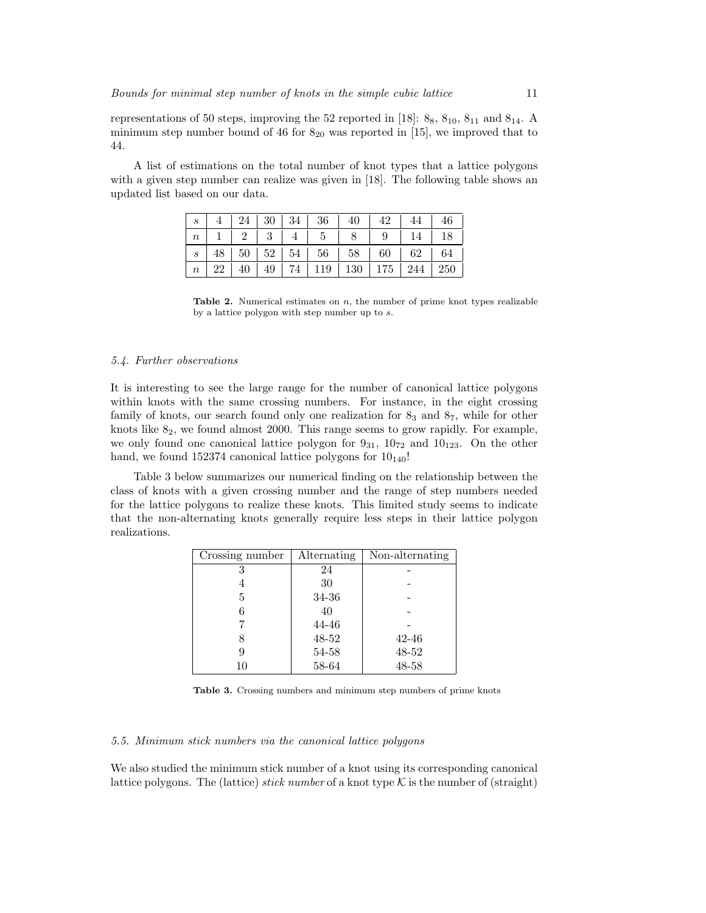representations of 50 steps, improving the 52 reported in [18]:  $8_8$ ,  $8_{10}$ ,  $8_{11}$  and  $8_{14}$ . A minimum step number bound of 46 for  $8_{20}$  was reported in [15], we improved that to 44.

A list of estimations on the total number of knot types that a lattice polygons with a given step number can realize was given in [18]. The following table shows an updated list based on our data.

|                  |  |  |  | $4 \mid 24 \mid 30 \mid 34 \mid 36 \mid 40 \mid 42 \mid 44 \mid 46$  |  |
|------------------|--|--|--|----------------------------------------------------------------------|--|
|                  |  |  |  | $n \mid 1 \mid 2 \mid 3 \mid 4 \mid 5 \mid 8 \mid 9 \mid 14 \mid 18$ |  |
| $\boldsymbol{s}$ |  |  |  | $48$   50   52   54   56   58   60   62   64                         |  |
| n                |  |  |  | 22   40   49   74   119   130   175   244   250                      |  |

**Table 2.** Numerical estimates on  $n$ , the number of prime knot types realizable by a lattice polygon with step number up to s.

## 5.4. Further observations

It is interesting to see the large range for the number of canonical lattice polygons within knots with the same crossing numbers. For instance, in the eight crossing family of knots, our search found only one realization for  $8<sub>3</sub>$  and  $8<sub>7</sub>$ , while for other knots like  $8<sub>2</sub>$ , we found almost 2000. This range seems to grow rapidly. For example, we only found one canonical lattice polygon for  $9_{31}$ ,  $10_{72}$  and  $10_{123}$ . On the other hand, we found 152374 canonical lattice polygons for  $10_{140}$ !

Table 3 below summarizes our numerical finding on the relationship between the class of knots with a given crossing number and the range of step numbers needed for the lattice polygons to realize these knots. This limited study seems to indicate that the non-alternating knots generally require less steps in their lattice polygon realizations.

| Crossing number | Alternating | Non-alternating |
|-----------------|-------------|-----------------|
| 3               | 24          |                 |
| 4               | 30          |                 |
| 5               | 34-36       |                 |
|                 | 40          |                 |
|                 | 44-46       |                 |
|                 | 48-52       | $42 - 46$       |
|                 | 54-58       | 48-52           |
| 10              | 58-64       | 48-58           |

Table 3. Crossing numbers and minimum step numbers of prime knots

## 5.5. Minimum stick numbers via the canonical lattice polygons

We also studied the minimum stick number of a knot using its corresponding canonical lattice polygons. The (lattice) stick number of a knot type  $\mathcal K$  is the number of (straight)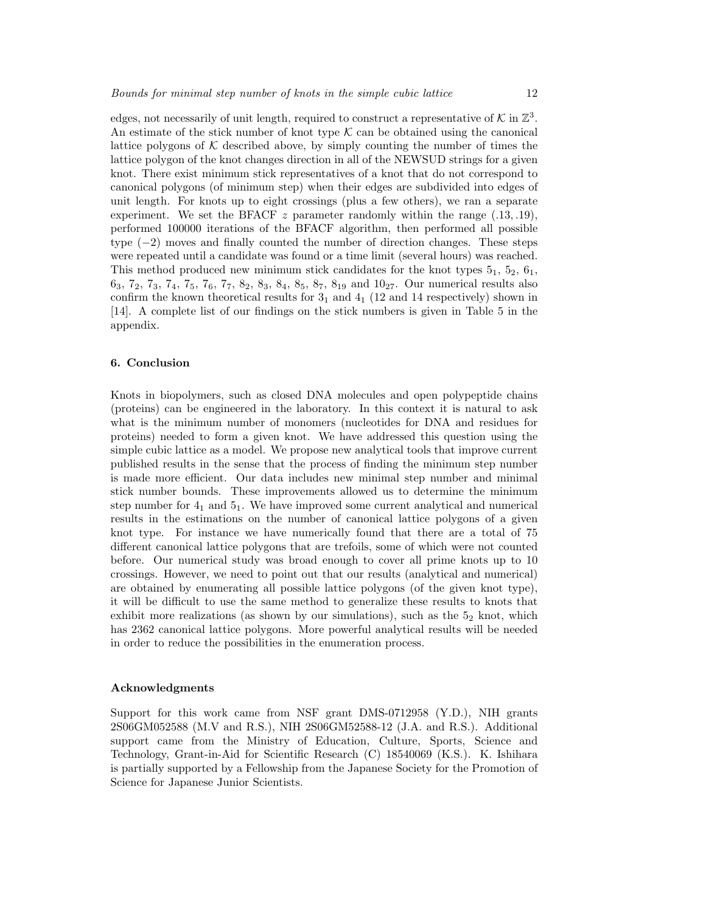edges, not necessarily of unit length, required to construct a representative of  $K$  in  $\mathbb{Z}^3$ . An estimate of the stick number of knot type  $K$  can be obtained using the canonical lattice polygons of  $K$  described above, by simply counting the number of times the lattice polygon of the knot changes direction in all of the NEWSUD strings for a given knot. There exist minimum stick representatives of a knot that do not correspond to canonical polygons (of minimum step) when their edges are subdivided into edges of unit length. For knots up to eight crossings (plus a few others), we ran a separate experiment. We set the BFACF  $z$  parameter randomly within the range  $(.13, .19)$ , performed 100000 iterations of the BFACF algorithm, then performed all possible type (−2) moves and finally counted the number of direction changes. These steps were repeated until a candidate was found or a time limit (several hours) was reached. This method produced new minimum stick candidates for the knot types  $5<sub>1</sub>$ ,  $5<sub>2</sub>$ ,  $6<sub>1</sub>$ ,  $6_3, 7_2, 7_3, 7_4, 7_5, 7_6, 7_7, 8_2, 8_3, 8_4, 8_5, 8_7, 8_{19}$  and  $10_{27}$ . Our numerical results also confirm the known theoretical results for  $3<sub>1</sub>$  and  $4<sub>1</sub>$  (12 and 14 respectively) shown in [14]. A complete list of our findings on the stick numbers is given in Table 5 in the appendix.

## 6. Conclusion

Knots in biopolymers, such as closed DNA molecules and open polypeptide chains (proteins) can be engineered in the laboratory. In this context it is natural to ask what is the minimum number of monomers (nucleotides for DNA and residues for proteins) needed to form a given knot. We have addressed this question using the simple cubic lattice as a model. We propose new analytical tools that improve current published results in the sense that the process of finding the minimum step number is made more efficient. Our data includes new minimal step number and minimal stick number bounds. These improvements allowed us to determine the minimum step number for  $4<sub>1</sub>$  and  $5<sub>1</sub>$ . We have improved some current analytical and numerical results in the estimations on the number of canonical lattice polygons of a given knot type. For instance we have numerically found that there are a total of 75 different canonical lattice polygons that are trefoils, some of which were not counted before. Our numerical study was broad enough to cover all prime knots up to 10 crossings. However, we need to point out that our results (analytical and numerical) are obtained by enumerating all possible lattice polygons (of the given knot type), it will be difficult to use the same method to generalize these results to knots that exhibit more realizations (as shown by our simulations), such as the  $5<sub>2</sub>$  knot, which has 2362 canonical lattice polygons. More powerful analytical results will be needed in order to reduce the possibilities in the enumeration process.

## Acknowledgments

Support for this work came from NSF grant DMS-0712958 (Y.D.), NIH grants 2S06GM052588 (M.V and R.S.), NIH 2S06GM52588-12 (J.A. and R.S.). Additional support came from the Ministry of Education, Culture, Sports, Science and Technology, Grant-in-Aid for Scientific Research (C) 18540069 (K.S.). K. Ishihara is partially supported by a Fellowship from the Japanese Society for the Promotion of Science for Japanese Junior Scientists.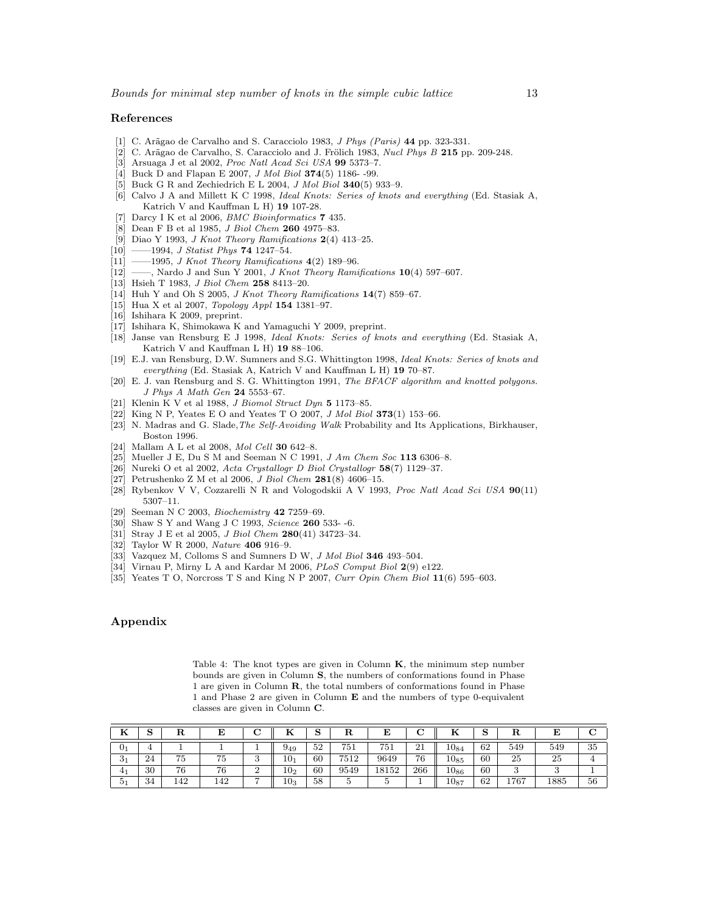#### References

- [1] C. Arãgao de Carvalho and S. Caracciolo 1983, J Phys (Paris) 44 pp. 323-331.
- C. Arãgao de Carvalho, S. Caracciolo and J. Frölich 1983, Nucl Phys B 215 pp. 209-248.
- [3] Arsuaga J et al 2002, Proc Natl Acad Sci USA 99 5373–7.
- [4] Buck D and Flapan E 2007, *J Mol Biol* **374**(5) 1186--99.
- [5] Buck G R and Zechiedrich E L 2004, *J Mol Biol* 340(5) 933-9.
- [6] Calvo J A and Millett K C 1998, Ideal Knots: Series of knots and everything (Ed. Stasiak A, Katrich V and Kauffman L H) 19 107-28.
- [7] Darcy I K et al 2006, *BMC Bioinformatics* **7** 435.
- [8] Dean F B et al 1985, J Biol Chem 260 4975–83.
- [9] Diao Y 1993, J Knot Theory Ramifications 2(4) 413–25.
- [10] ——1994, *J Statist Phys* **74** 1247-54.
- $[11]$  ——1995, *J Knot Theory Ramifications* 4(2) 189–96.
- $[12]$  ——, Nardo J and Sun Y 2001, J Knot Theory Ramifications 10(4) 597-607.
- [13] Hsieh T 1983, J Biol Chem 258 8413–20.
- [14] Huh Y and Oh S 2005, *J Knot Theory Ramifications*  $14(7)$  859–67.
- [15] Hua X et al 2007, *Topology Appl* **154** 1381-97.
- [16] Ishihara K 2009, preprint.
- [17] Ishihara K, Shimokawa K and Yamaguchi Y 2009, preprint.
- [18] Janse van Rensburg E J 1998, Ideal Knots: Series of knots and everything (Ed. Stasiak A, Katrich V and Kauffman L H) 19 88–106.
- [19] E.J. van Rensburg, D.W. Sumners and S.G. Whittington 1998, Ideal Knots: Series of knots and everything (Ed. Stasiak A, Katrich V and Kauffman L H) 19 70–87.
- [20] E. J. van Rensburg and S. G. Whittington 1991, The BFACF algorithm and knotted polygons. J Phys A Math Gen 24 5553–67.
- [21] Klenin K V et al 1988, *J Biomol Struct Dyn* 5 1173-85.
- [22] King N P, Yeates E O and Yeates T O 2007,  $J$  Mol Biol 373(1) 153–66.
- [23] N. Madras and G. Slade, The Self-Avoiding Walk Probability and Its Applications, Birkhauser, Boston 1996.
- [24] Mallam A L et al 2008, Mol Cell 30 642-8.
- [25] Mueller J E, Du S M and Seeman N C 1991, J Am Chem Soc 113 6306–8.
- [26] Nureki O et al 2002, Acta Crystallogr D Biol Crystallogr 58(7) 1129–37.
- [27] Petrushenko Z M et al 2006, *J Biol Chem*  $281(8)$  4606-15.
- [28] Rybenkov V V, Cozzarelli N R and Vologodskii A V 1993, Proc Natl Acad Sci USA 90(11) 5307–11.
- [29] Seeman N C 2003, Biochemistry 42 7259–69.
- [30] Shaw S Y and Wang J C 1993, Science **260** 533--6.
- [31] Stray J E et al 2005, J Biol Chem 280(41) 34723–34.
- [32] Taylor W R 2000, Nature 406 916–9.
- [33] Vazquez M, Colloms S and Sumners D W, J Mol Biol 346 493-504.
- [34] Virnau P, Mirny L A and Kardar M 2006, PLoS Comput Biol 2(9) e122.
- [35] Yeates T O, Norcross T S and King N P 2007, Curr Opin Chem Biol 11(6) 595-603.

## Appendix

Table 4: The knot types are given in Column  $K$ , the minimum step number bounds are given in Column S, the numbers of conformations found in Phase 1 are given in Column R, the total numbers of conformations found in Phase 1 and Phase 2 are given in Column E and the numbers of type 0-equivalent classes are given in Column C.

|                  | ت  |                     |                    | ⌒              |                 | ञ  | к    |       |         |           | w  | πı   |      |    |
|------------------|----|---------------------|--------------------|----------------|-----------------|----|------|-------|---------|-----------|----|------|------|----|
| $U_1$            | 4  |                     |                    |                | 949             | 52 | 751  | 751   | o-<br>◢ | $10_{84}$ | 62 | 549  | 549  | 35 |
| $\mathfrak{0}_1$ | 24 | $\rightarrow$<br>6) | $-$<br>6 I         | υ              | 10 <sub>1</sub> | 60 | 7512 | 9649  | 76      | $10_{85}$ | 60 | 25   | 25   |    |
| 41               | 30 | 76                  | $\mathbf{a}$<br>0° | ∼              | $10_{2}$        | 60 | 9549 | 18152 | 266     | $10_{86}$ | 60 |      |      |    |
| 5 <sub>1</sub>   | 34 | 142                 | 142                | $\overline{ }$ | $10_3$          | 58 |      |       |         | $10_{87}$ | 62 | 1767 | 1885 | 56 |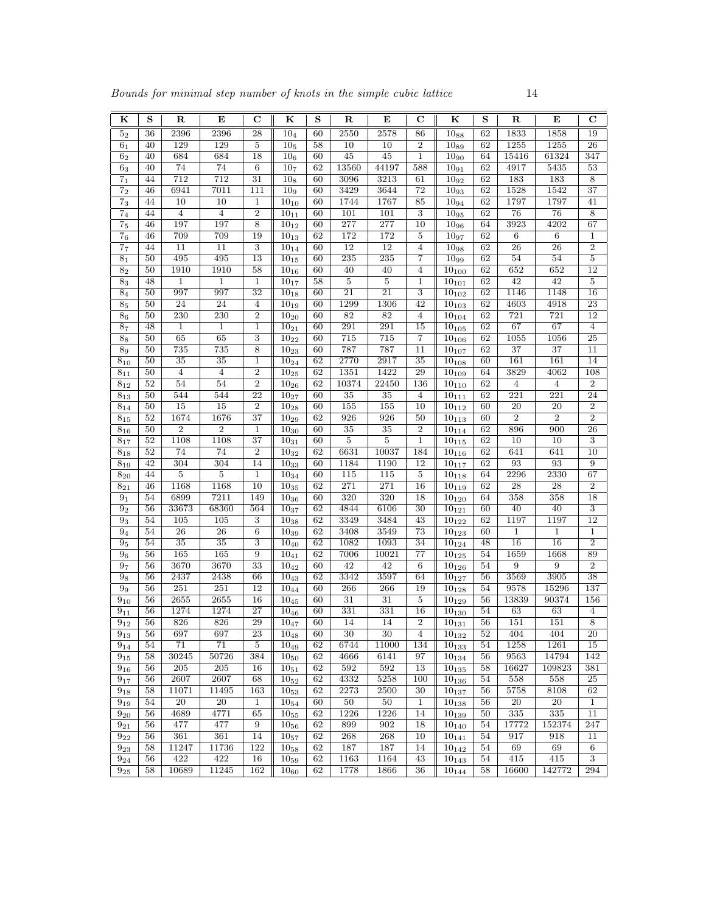| ${\bf K}$            | S               | $\mathbf R$            | E                                 | $\mathbf C$         | K                       | S        | $\mathbf R$             | Е               | С                                  | K                        | S        | ${\bf R}$              | Е                      | $\mathbf C$                      |
|----------------------|-----------------|------------------------|-----------------------------------|---------------------|-------------------------|----------|-------------------------|-----------------|------------------------------------|--------------------------|----------|------------------------|------------------------|----------------------------------|
| 5 <sub>2</sub>       | 36              | 2396                   | 2396                              | 28                  | 10 <sub>4</sub>         | 60       | 2550                    | 2578            | 86                                 | $10_{88}$                | 62       | 1833                   | 1858                   | 19                               |
| 6 <sub>1</sub>       | 40              | 129                    | 129                               | $\bf 5$             | $10_{5}$                | 58       | 10                      | $\overline{10}$ | $\,2$                              | 10 <sub>89</sub>         | 62       | 1255                   | 1255                   | 26                               |
| $\sqrt{6}2$          | 40              | 684                    | 684                               | 18                  | 10 <sub>6</sub>         | 60       | 45                      | 45              | $\mathbf 1$                        | $10_{90}$                | 64       | 15416                  | 61324                  | 347                              |
| $\mathbf{6}_{3}$     | 40              | 74                     | 74                                | $\,6$               | 10 <sub>7</sub>         | 62       | 13560                   | 44197           | 588                                | $10_{91}$                | 62       | 4917                   | 5435                   | 53                               |
| 7 <sub>1</sub>       | 44              | 712                    | 712                               | $\overline{31}$     | 10 <sub>8</sub>         | 60       | 3096                    | 3213            | 61                                 | $10_{92}$                | 62       | 183                    | 183                    | $\overline{8}$                   |
| $\overline{7_2}$     | 46              | 6941                   | 7011                              | 111                 | 10 <sub>9</sub>         | 60       | 3429                    | 3644            | 72                                 | $10_{93}$                | 62       | 1528                   | 1542                   | 37                               |
| $\mathbf{7}_3$       | 44              | 10                     | 10                                | 1                   | $10_{10}$               | 60       | 1744                    | 1767            | 85                                 | $10_{94}$                | 62       | 1797                   | 1797                   | 41                               |
| $\overline{7_4}$     | 44              | $\overline{4}$         | $\overline{4}$                    | $\overline{2}$      | $10_{11}$               | 60       | 101                     | 101             | $\overline{3}$                     | 1095                     | 62       | 76                     | 76                     | $\overline{8}$                   |
| $\overline{7_5}$     | 46              | 197                    | 197                               | 8                   | $10_{12}$               | 60       | 277                     | 277             | $\overline{10}$                    | $10_{96}$                | 64       | 3923                   | 4202                   | 67                               |
| $\bf 7_6$            | 46              | 709                    | 709                               | 19                  | $10_{13}$               | 62       | 172                     | 172             | 5                                  | $10_{97}$                | 62       | $\,6\,$                | 6                      | 1                                |
| 7 <sub>7</sub>       | 44              | 11                     | 11                                | 3                   | $10_{14}$               | 60       | $\overline{12}$         | $\overline{12}$ | $\overline{4}$                     | $10_{98}$                | 62       | $\overline{26}$        | $\overline{26}$        | $\overline{2}$                   |
| 8 <sub>1</sub>       | 50              | 495                    | 495                               | $\overline{13}$     | $10_{15}$               | 60       | 235                     | 235             | $\overline{7}$                     | 1099                     | 62       | 54                     | 54                     | $\overline{5}$                   |
| $\bf 8_2$            | 50              | 1910                   | 1910                              | 58                  | $10_{16}$               | 60       | 40                      | 40              | $\overline{4}$                     | $10_{100}$               | 62       | 652                    | 652                    | $\overline{12}$                  |
| $\bf 8_3$            | 48              | 1                      | $\mathbf 1$                       | 1                   | $10_{17}$               | 58       | $\overline{\mathbf{5}}$ | $\bf 5$         | 1                                  | $10_{101}$               | 62       | $\overline{42}$        | 42                     | $\overline{5}$                   |
| 8 <sub>4</sub>       | 50              | 997                    | 997                               | $\overline{32}$     | $10_{18}$               | 60       | $\overline{21}$         | 21              | $\boldsymbol{3}$                   | $10_{102}$               | 62       | 1146                   | 1148                   | 16                               |
| $\bf 8_5$            | 50              | 24                     | 24                                | $\overline{4}$      | $10_{19}$               | 60       | 1299                    | 1306            | 42                                 | $10_{103}$               | 62       | 4603                   | 4918                   | 23                               |
| 8 <sub>6</sub>       | 50              | 230                    | 230                               | $\overline{2}$      | $10_{20}$               | 60       | 82                      | 82              | $\overline{4}$                     | $10_{104}$               | 62       | 721                    | 721                    | 12                               |
| $\overline{87}$      | 48              | $\mathbf{1}$           | $\mathbf{1}$                      | $\mathbf 1$         | $10_{21}$               | 60       | 291                     | 291             | $\overline{15}$                    | $10_{105}$               | 62       | 67                     | 67                     | $\,4\,$                          |
| $8_8$                | 50              | $\overline{65}$        | 65                                | $\overline{3}$      | $10_{22}$               | 60       | 715                     | 715             | 7                                  | $10_{106}$               | 62       | 1055                   | 1056                   | $\overline{25}$                  |
| 8 <sub>9</sub>       | 50<br>50        | 735<br>$\overline{35}$ | 735                               | 8                   | $\overline{10}_2{}_{3}$ | 60<br>62 | 787<br>2770             | 787             | $\overline{11}$<br>$\overline{35}$ | $10_{107}$               | 62       | $\overline{37}$<br>161 | $\overline{37}$<br>161 | $\overline{11}$<br>14            |
| $8_{10}$<br>$8_{11}$ | 50              | $\overline{4}$         | $\overline{35}$<br>$\overline{4}$ | 1<br>$\overline{2}$ | $10_{24}$<br>$10_{25}$  | 62       | 1351                    | 2917<br>1422    | 29                                 | $10_{108}$<br>$10_{109}$ | 60<br>64 | 3829                   | 4062                   | 108                              |
| $8_{12}$             | 52              | 54                     | 54                                | $\boldsymbol{2}$    | $10_{26}$               | 62       | 10374                   | 22450           | 136                                | $10_{110}$               | 62       | $\overline{4}$         | $\overline{4}$         | $\sqrt{2}$                       |
| $8_{13}$             | 50              | 544                    | 544                               | $\overline{22}$     | $10_{27}$               | 60       | 35                      | $\overline{35}$ | $\overline{4}$                     | $\overline{10_{111}}$    | 62       | 221                    | 221                    | 24                               |
| $8_{14}$             | 50              | $\overline{15}$        | $\overline{15}$                   | $\overline{2}$      | $10_{28}$               | 60       | 155                     | 155             | 10                                 | $\overline{10_{112}}$    | 60       | $\overline{20}$        | $\overline{20}$        | $\overline{2}$                   |
| $8_{15}$             | 52              | 1674                   | 1676                              | $\overline{37}$     | $10_{29}$               | 62       | 926                     | 926             | 50                                 | $\overline{10_{113}}$    | 60       | $\overline{2}$         | $\overline{2}$         | $\overline{2}$                   |
| $8_{16}$             | 50              | $\overline{2}$         | $\overline{2}$                    | $\mathbf{1}$        | $10_{30}$               | 60       | 35                      | 35              | $\overline{2}$                     | $10_{114}$               | 62       | 896                    | 900                    | 26                               |
| $8_{17}$             | 52              | 1108                   | 1108                              | $\overline{37}$     | $10_{31}$               | 60       | $\overline{5}$          | $\overline{5}$  | $\mathbf 1$                        | $10_{115}$               | 62       | $\overline{10}$        | $\overline{10}$        | $\,3$                            |
| $8_{18}$             | 52              | 74                     | 74                                | $\overline{2}$      | $10_{32}$               | 62       | 6631                    | 10037           | 184                                | $10_{116}$               | 62       | 641                    | 641                    | $\overline{10}$                  |
| $8_{19}$             | 42              | 304                    | 304                               | 14                  | $10_{33}$               | 60       | 1184                    | 1190            | 12                                 | $10_{117}$               | 62       | 93                     | 93                     | $\boldsymbol{9}$                 |
| $8_{20}$             | 44              | $\overline{5}$         | $\overline{5}$                    | 1                   | $10_{34}$               | 60       | 115                     | 115             | $\overline{5}$                     | $10_{118}$               | 64       | 2296                   | 2330                   | 67                               |
| $8_{21}$             | 46              | 1168                   | 1168                              | $\overline{10}$     | $10_{35}$               | 62       | 271                     | 271             | 16                                 | $\overline{10_{119}}$    | 62       | <b>28</b>              | $\overline{28}$        | $\,2$                            |
| 9 <sub>1</sub>       | 54              | 6899                   | 7211                              | 149                 | $10_{36}$               | 60       | 320                     | 320             | 18                                 | $10_{120}$               | 64       | 358                    | 358                    | 18                               |
| 9 <sub>2</sub>       | 56              | 33673                  | 68360                             | 564                 | $10_{37}$               | 62       | 4844                    | 6106            | $\overline{30}$                    | $10_{121}$               | 60       | 40                     | 40                     | $\overline{3}$                   |
| $\overline{9_3}$     | 54              | $\overline{105}$       | $\overline{105}$                  | 3                   | $10_{38}$               | 62       | 3349                    | 3484            | 43                                 | $10_{122}$               | 62       | 1197                   | 1197                   | $\overline{12}$                  |
| 9 <sub>4</sub>       | 54              | 26                     | 26                                | $\,6$               | $10_{39}$               | 62       | 3408                    | 3549            | 73                                 | $10_{123}$               | 60       | $\mathbf{1}$           | $\mathbf 1$            | $\mathbf{1}$                     |
| 9 <sub>5</sub>       | 54              | 35                     | 35                                | 3                   | $10_{40}$               | 62       | 1082                    | 1093            | 34                                 | $10_{124}$               | 48       | 16                     | 16                     | $\overline{2}$                   |
| 9 <sub>6</sub>       | 56              | 165                    | 165                               | $\overline{9}$      | $10_{41}$               | 62       | 7006                    | 10021           | $\overline{77}$                    | $10_{125}$               | 54       | 1659                   | 1668                   | 89                               |
| 9 <sub>7</sub>       | 56              | 3670                   | 3670                              | $\overline{33}$     | $10_{42}$               | 60       | $\overline{42}$         | $\overline{42}$ | $6\phantom{1}6$                    | $\overline{10_{126}}$    | 54       | $\overline{9}$         | 9                      | $\overline{2}$                   |
| $9\mathrm{s}$        | 56              | 2437                   | 2438                              | 66                  | $10_{43}$               | 62       | 3342                    | 3597            | 64                                 | $10_{127}$               | 56       | 3569                   | 3905                   | $\overline{38}$                  |
| 9 <sub>9</sub>       | 56              | 251                    | 251                               | 12                  | $10_{44}$               | 60       | 266                     | 266             | 19                                 | $10_{128}$               | 54       | 9578                   | 15296                  | 137                              |
| $9_{10}$             | 56              | 2655                   | 2655                              | 16                  | $10_{45}$               | 60       | 31                      | 31              | $\bf 5$                            | $10_{129}$               | 56       | 13839                  | 90374                  | 156                              |
| $9_{11}$             | 56<br>56        | 1274<br>826            | 1274                              | 27<br>29            | $\overline{10}_{46}$    | 60<br>60 | 331<br>14               | 331<br>14       | 16<br>$\overline{2}$               | $10_{130}$               | 54<br>56 | 63<br>151              | 63<br>151              | $\overline{4}$<br>$\overline{8}$ |
| $9_{12}$<br>$9_{13}$ | 56              | 697                    | 826<br>697                        | 23                  | $10_{47}$<br>$10_{48}$  | 60       | 30                      | 30              | 4                                  | $10_{131}$<br>$10_{132}$ | 52       | 404                    | 404                    | 20                               |
| $\overline{9_1}_4$   | 54              | $\overline{71}$        | $\overline{71}$                   | $\overline{5}$      | $10_{49}$               | 62       | 6744                    | 11000           | 134                                | $10_{133}$               | 54       | 1258                   | 1261                   | $\overline{15}$                  |
| $9_{15}$             | 58              | 30245                  | 50726                             | 384                 | $10_{50}$               | 62       | 4666                    | 6141            | 97                                 | $10_{134}$               | 56       | 9563                   | 14794                  | 142                              |
| $9_{16}$             | $\overline{56}$ | 205                    | 205                               | 16                  | $10_{51}$               | 62       | 592                     | 592             | 13                                 | $10_{135}$               | 58       | 16627                  | 109823                 | 381                              |
| $9_{17}$             | 56              | 2607                   | 2607                              | 68                  | $10_{52}$               | 62       | 4332                    | 5258            | 100                                | $10_{136}$               | 54       | 558                    | 558                    | 25                               |
| $9_{18}$             | 58              | 11071                  | 11495                             | 163                 | $10_{53}$               | 62       | 2273                    | 2500            | 30                                 | $10_{137}$               | 56       | 5758                   | 8108                   | 62                               |
| $9_{19}$             | 54              | $\overline{20}$        | $\overline{20}$                   | 1                   | $10_{54}$               | 60       | 50                      | 50              | $\mathbf{1}$                       | $10_{138}$               | 56       | $\overline{20}$        | 20                     | $\mathbf{1}$                     |
| $9_{20}$             | 56              | 4689                   | 4771                              | 65                  | $10_{55}$               | 62       | 1226                    | 1226            | 14                                 | $10_{139}$               | 50       | 335                    | 335                    | 11                               |
| $9_{21}$             | 56              | 477                    | 477                               | 9                   | $10_{56}$               | 62       | 899                     | 902             | 18                                 | $10_{140}$               | 54       | 17772                  | 152374                 | 247                              |
| $9_{22}$             | 56              | 361                    | 361                               | 14                  | $10_{57}$               | 62       | 268                     | 268             | 10                                 | $10_{141}$               | 54       | 917                    | 918                    | 11                               |
| $9_{23}$             | 58              | 11247                  | 11736                             | 122                 | $10_{58}$               | 62       | 187                     | 187             | 14                                 | $10_{142}$               | 54       | 69                     | 69                     | 6                                |
| $9_{24}$             | 56              | 422                    | 422                               | 16                  | $10_{59}$               | 62       | 1163                    | 1164            | 43                                 | $10_{143}$               | 54       | 415                    | 415                    | 3                                |
| $9_{25}$             | 58              | 10689                  | 11245                             | 162                 | $10_{60}$               | 62       | 1778                    | 1866            | $36\,$                             | $10_{144}$               | 58       | 16600                  | 142772                 | 294                              |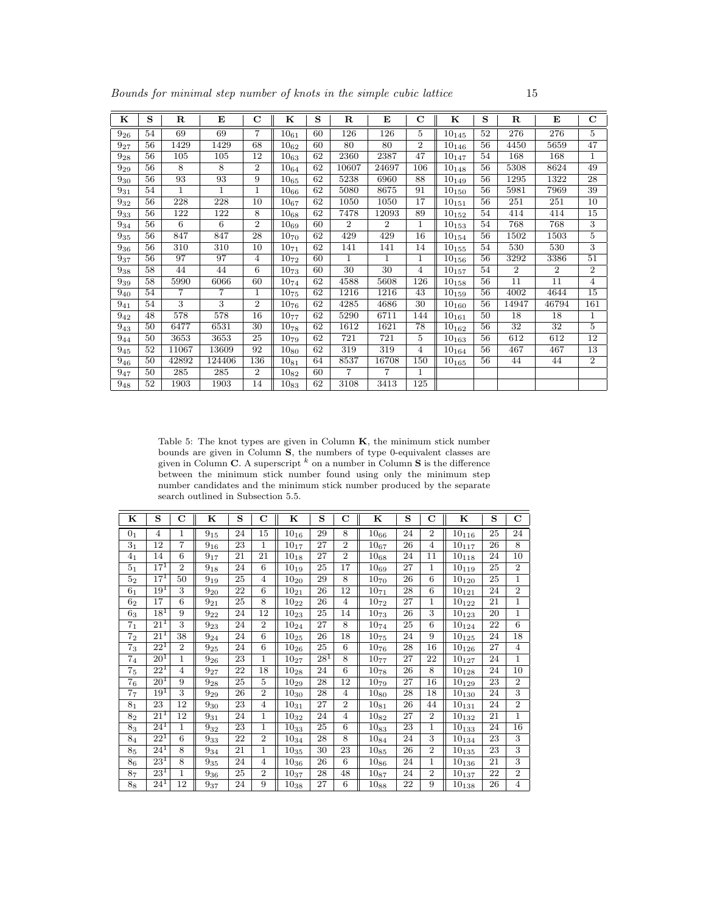| ĸ        | S  | $\mathbf R$    | E              | С              | $\mathbf K$ | S  | $\mathbf R$    | E              | $\mathbf C$    | ĸ          | S  | $\mathbf R$     | E              | $\mathbf C$    |
|----------|----|----------------|----------------|----------------|-------------|----|----------------|----------------|----------------|------------|----|-----------------|----------------|----------------|
| $9_{26}$ | 54 | 69             | 69             | 7              | $10_{61}$   | 60 | 126            | 126            | 5              | $10_{145}$ | 52 | 276             | 276            | $\overline{5}$ |
| $9_{27}$ | 56 | 1429           | 1429           | 68             | $10_{62}$   | 60 | 80             | 80             | $\overline{2}$ | $10_{146}$ | 56 | 4450            | 5659           | 47             |
| $9_{28}$ | 56 | 105            | 105            | 12             | $10_{63}$   | 62 | 2360           | 2387           | 47             | $10_{147}$ | 54 | 168             | 168            | $\mathbf{1}$   |
| $9_{29}$ | 56 | 8              | 8              | $\overline{2}$ | $10_{64}$   | 62 | 10607          | 24697          | 106            | $10_{148}$ | 56 | 5308            | 8624           | 49             |
| $9_{30}$ | 56 | 93             | 93             | 9              | $10_{65}$   | 62 | 5238           | 6960           | 88             | $10_{149}$ | 56 | 1295            | 1322           | 28             |
| $9_{31}$ | 54 | $\mathbf{1}$   | $\mathbf{1}$   | $\mathbf 1$    | $10_{66}$   | 62 | 5080           | 8675           | 91             | $10_{150}$ | 56 | 5981            | 7969           | 39             |
| $9_{32}$ | 56 | 228            | 228            | 10             | $10_{67}$   | 62 | 1050           | 1050           | 17             | $10_{151}$ | 56 | 251             | 251            | 10             |
| $9_{33}$ | 56 | 122            | 122            | 8              | $10_{68}$   | 62 | 7478           | 12093          | 89             | $10_{152}$ | 54 | 414             | 414            | 15             |
| $9_{34}$ | 56 | 6              | 6              | $\overline{2}$ | $10_{69}$   | 60 | $\overline{2}$ | $\overline{2}$ | 1              | $10_{153}$ | 54 | 768             | 768            | $\overline{3}$ |
| $9_{35}$ | 56 | 847            | 847            | 28             | $10_{70}$   | 62 | 429            | 429            | 16             | $10_{154}$ | 56 | 1502            | 1503           | 5              |
| $9_{36}$ | 56 | 310            | 310            | 10             | $10_{71}$   | 62 | 141            | 141            | 14             | $10_{155}$ | 54 | 530             | 530            | 3              |
| $9_{37}$ | 56 | 97             | 97             | 4              | $10_{72}$   | 60 | 1.             | 1              | 1              | $10_{156}$ | 56 | 3292            | 3386           | 51             |
| 938      | 58 | 44             | 44             | 6              | $10_{73}$   | 60 | 30             | 30             | $\overline{4}$ | $10_{157}$ | 54 | $\overline{2}$  | $\overline{2}$ | $\overline{2}$ |
| $9_{39}$ | 58 | 5990           | 6066           | 60             | $10_{74}$   | 62 | 4588           | 5608           | 126            | $10_{158}$ | 56 | 11              | 11             | $\overline{4}$ |
| $9_{40}$ | 54 | $\overline{7}$ | $\overline{7}$ | $\mathbf 1$    | $10_{75}$   | 62 | 1216           | 1216           | 43             | $10_{159}$ | 56 | 4002            | 4644           | 15             |
| $9_{41}$ | 54 | 3              | 3              | $\overline{2}$ | $10_{76}$   | 62 | 4285           | 4686           | 30             | $10_{160}$ | 56 | 14947           | 46794          | 161            |
| $9_{42}$ | 48 | 578            | 578            | 16             | $10_{77}$   | 62 | 5290           | 6711           | 144            | $10_{161}$ | 50 | 18              | 18             | $\mathbf{1}$   |
| $9_{43}$ | 50 | 6477           | 6531           | 30             | $10_{78}$   | 62 | 1612           | 1621           | 78             | $10_{162}$ | 56 | $\overline{32}$ | 32             | 5              |
| $9_{44}$ | 50 | 3653           | 3653           | 25             | $10_{79}$   | 62 | 721            | 721            | 5              | $10_{163}$ | 56 | 612             | 612            | 12             |
| $9_{45}$ | 52 | 11067          | 13609          | 92             | $10_{80}$   | 62 | 319            | 319            | 4              | $10_{164}$ | 56 | 467             | 467            | 13             |
| 946      | 50 | 42892          | 124406         | 136            | $10_{81}$   | 64 | 8537           | 16708          | 150            | $10_{165}$ | 56 | 44              | 44             | $\overline{2}$ |
| $9_{47}$ | 50 | 285            | 285            | $\overline{2}$ | $10_{82}$   | 60 | $\overline{7}$ | 7              | 1              |            |    |                 |                |                |
| 948      | 52 | 1903           | 1903           | 14             | $10_{83}$   | 62 | 3108           | 3413           | 125            |            |    |                 |                |                |

Table 5: The knot types are given in Column  $K$ , the minimum stick number bounds are given in Column S, the numbers of type 0-equivalent classes are given in Column C. A superscript  $^k$  on a number in Column S is the difference between the minimum stick number found using only the minimum step number candidates and the minimum stick number produced by the separate search outlined in Subsection 5.5.

| ĸ              | S                 | $\mathbf C$    | ĸ        | S  | C              | ĸ                    | S      | $\mathbf C$     | ĸ                    | S  | C              | ĸ                       | S               | $\mathbf C$    |
|----------------|-------------------|----------------|----------|----|----------------|----------------------|--------|-----------------|----------------------|----|----------------|-------------------------|-----------------|----------------|
| 0 <sub>1</sub> | $\overline{4}$    | 1              | $9_{15}$ | 24 | 15             | $10_{16}$            | 29     | 8               | $10_{66}$            | 24 | $\overline{2}$ | $10_{116}$              | 25              | 24             |
| 3 <sub>1</sub> | 12                | $\overline{7}$ | $9_{16}$ | 23 | 1              | $\overline{10}_{17}$ | 27     | $\overline{2}$  | $10_{67}$            | 26 | $\overline{4}$ | $10_{117}$              | 26              | 8              |
| 4 <sub>1</sub> | 14                | 6              | $9_{17}$ | 21 | 21             | $10_{18}$            | 27     | $\overline{2}$  | ${\bf 10}_{68}$      | 24 | 11             | $10_{118}$              | 24              | 10             |
| 5 <sub>1</sub> | $17^{1}$          | $\overline{2}$ | $9_{18}$ | 24 | 6              | $\overline{10}_{19}$ | 25     | $\overline{17}$ | $10_{69}$            | 27 | 1              | $10_{119}$              | $\overline{25}$ | $\overline{2}$ |
| $5_{2}$        | $17^1$            | 50             | $9_{19}$ | 25 | $\overline{4}$ | $10_{20}$            | 29     | 8               | $10_{70}$            | 26 | 6              | $10_{120}$              | 25              | 1              |
| 6 <sub>1</sub> | $19^{1}$          | 3              | $9_{20}$ | 22 | 6              | $10_{21}$            | 26     | 12              | $10_{71}$            | 28 | 6              | $10_{121}$              | 24              | $\overline{2}$ |
| 62             | $\overline{17}$   | 6              | $9_{21}$ | 25 | 8              | $\overline{10}_{22}$ | 26     | 4               | $10_{72}$            | 27 | 1              | $10_{122}$              | 21              | 1              |
| 6 <sub>3</sub> | $18^1$            | 9              | $9_{22}$ | 24 | 12             | $10_{23}$            | 25     | 14              | $10_{73}$            | 26 | 3              | $10_{123}$              | 20              | $\mathbf 1$    |
| 7 <sub>1</sub> | $21^{1}$          | 3              | $9_{23}$ | 24 | $\overline{2}$ | $\overline{10}_{24}$ | 27     | 8               | $10_{74}$            | 25 | 6              | $10_{124}$              | 22              | 6              |
| 7 <sub>2</sub> | $21^{1}$          | 38             | $9_{24}$ | 24 | 6              | $10_{25}$            | 26     | 18              | $10_{75}$            | 24 | 9              | $10_{125}$              | 24              | 18             |
| $7_3$          | $22^{1}$          | $\overline{2}$ | $9_{25}$ | 24 | 6              | $10_{26}$            | 25     | 6               | $10_{76}$            | 28 | 16             | $10_{126}$              | 27              | $\overline{4}$ |
| 7 <sub>4</sub> | 20 <sup>1</sup>   | $\mathbf{1}$   | $9_{26}$ | 23 | $\mathbf{1}$   | $\overline{10}_{27}$ | $28^1$ | 8               | $10_{77}$            | 27 | 22             | $10_{127}$              | 24              | $\mathbf{1}$   |
| 7 <sub>5</sub> | $22^1$            | $\overline{4}$ | $9_{27}$ | 22 | 18             | $10_{28}$            | 24     | 6               | $10_{78}$            | 26 | 8              | $10_{128}$              | 24              | 10             |
| 7 <sub>6</sub> | 20 <sup>1</sup>   | 9              | $9_{28}$ | 25 | 5              | $10_{29}$            | 28     | 12              | $10_{79}$            | 27 | 16             | $10_{129}$              | 23              | $\overline{2}$ |
| 7 <sub>7</sub> | $19^{1}$          | 3              | $9_{29}$ | 26 | $\overline{2}$ | $\overline{10}_{30}$ | 28     | $\overline{4}$  | $10_{80}$            | 28 | 18             | $10_{130}$              | 24              | 3              |
| 8 <sub>1</sub> | 23                | 12             | $9_{30}$ | 23 | $\overline{4}$ | $10_{31}$            | 27     | $\overline{2}$  | $10_{81}$            | 26 | 44             | $10_{131}$              | 24              | $\overline{2}$ |
| 8 <sub>2</sub> | $\overline{21^1}$ | 12             | $9_{31}$ | 24 | 1              | $10_{32}$            | 24     | $\overline{4}$  | $10_{82}$            | 27 | $\overline{2}$ | $10_{132}$              | 21              | 1              |
| 83             | $24^{1}$          | $\mathbf{1}$   | $9_{32}$ | 23 | 1              | $10_{33}$            | 25     | 6               | $10_{83}$            | 23 | 1              | $10_{133}$              | 24              | 16             |
| 8 <sub>4</sub> | $22^1$            | $\overline{6}$ | $9_{33}$ | 22 | $\overline{2}$ | $10_{34}$            | 28     | 8               | $10_{84}$            | 24 | $\overline{3}$ | $10_{134}$              | 23              | 3              |
| 8 <sub>5</sub> | $24^{1}$          | 8              | $9_{34}$ | 21 | 1              | $10_{35}$            | 30     | 23              | $\overline{10}_{85}$ | 26 | $\overline{2}$ | $10_{135}$              | 23              | $\overline{3}$ |
| 8 <sub>6</sub> | $23^{1}$          | 8              | $9_{35}$ | 24 | $\overline{4}$ | $10_{36}\,$          | 26     | 6               | $10_{\rm 86}$        | 24 | 1              | $\boldsymbol{10_{136}}$ | 21              | 3              |
| 8 <sub>7</sub> | 23 <sup>1</sup>   | 1              | $9_{36}$ | 25 | $\overline{2}$ | $\overline{1}0_{37}$ | 28     | 48              | $10_{87}$            | 24 | $\overline{2}$ | $10_{137}$              | 22              | $\overline{2}$ |
| $8_8$          | $24^1$            | 12             | $9_{37}$ | 24 | 9              | $10_{38}\,$          | 27     | 6               | $10_{88}$            | 22 | 9              | $10_{138}$              | 26              | 4              |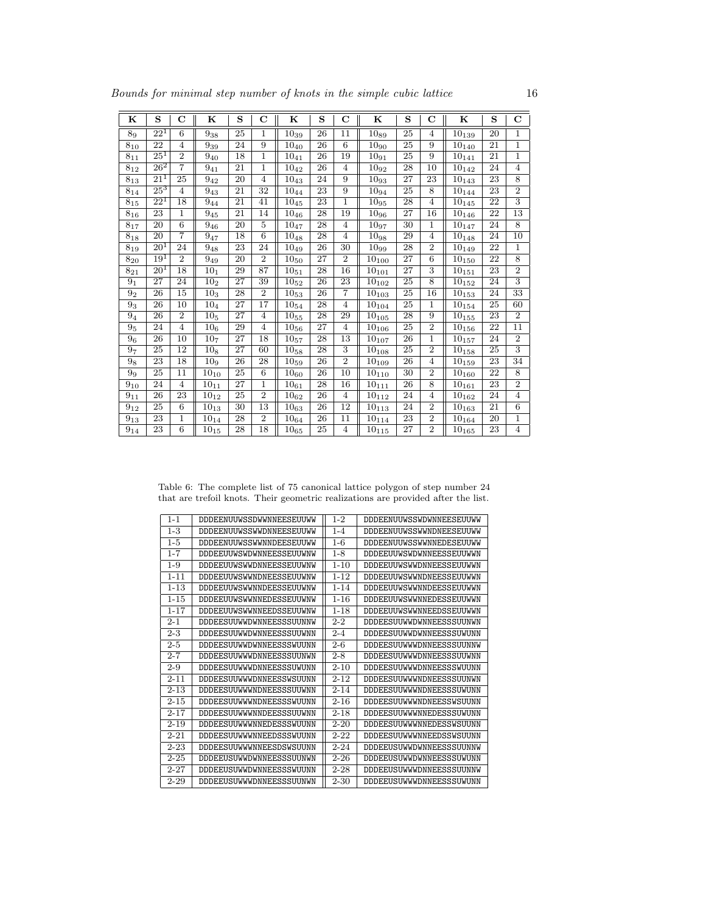| ĸ                 | S                 | $\mathbf C$      | ĸ                    | S  | $\mathbf C$    | K                    | S               | $\mathbf C$     | K          | S               | $\mathbf C$     | K                      | S  | $\mathbf C$      |
|-------------------|-------------------|------------------|----------------------|----|----------------|----------------------|-----------------|-----------------|------------|-----------------|-----------------|------------------------|----|------------------|
| 89                | $22^{1}$          | $6\phantom{1}6$  | $9_{38}$             | 25 | 1              | $10_{39}$            | 26              | 11              | $10_{89}$  | 25              | $\overline{4}$  | $10_{139}$             | 20 | $\mathbf{1}$     |
| $8_{10}$          | 22                | $\overline{4}$   | $9_{39}$             | 24 | 9              | $10_{40}$            | 26              | $6\overline{6}$ | $10_{90}$  | 25              | 9               | $10_{140}$             | 21 | 1                |
| $8_{11}$          | 25 <sup>1</sup>   | $\overline{2}$   | $9_{40}$             | 18 | $\mathbf{1}$   | $10_{41}$            | 26              | 19              | $10_{91}$  | 25              | 9               | $10_{14\underline{1}}$ | 21 | $\mathbf{1}$     |
| $8_{12}$          | $26^2$            | $\overline{7}$   | $9_{41}$             | 21 | $\mathbf{1}$   | $10_{42}$            | 26              | $\overline{4}$  | $10_{92}$  | 28              | 10              | $10_{142}$             | 24 | $\overline{4}$   |
| 813               | 21 <sup>1</sup>   | 25               | $9_{42}$             | 20 | $\overline{4}$ | $10_{43}$            | 24              | 9               | 1093       | 27              | 23              | $10_{143}$             | 23 | 8                |
| $8_{14}$          | $25^{3}$          | 4                | $9_{43}$             | 21 | 32             | $10_{44}$            | 23              | 9               | $10_{94}$  | 25              | 8               | $10_{144}$             | 23 | $\overline{2}$   |
| $8_{15}$          | $\overline{22^1}$ | 18               | $9_{44}$             | 21 | 41             | $10_{45}$            | 23              | $\mathbf{1}$    | $10_{95}$  | 28              | $\overline{4}$  | $10_{145}$             | 22 | $\overline{3}$   |
| $8_{16}$          | 23                | 1                | $9_{45}$             | 21 | 14             | $10_{46}$            | 28              | 19              | $10_{96}$  | 27              | 16              | $10_{146}$             | 22 | 13               |
| $8_{17}$          | $\overline{20}$   | $\,6$            | $9_{46}$             | 20 | $\overline{5}$ | $10_{47}$            | 28              | $\overline{4}$  | $10_{97}$  | 30              | 1               | $10_{147}$             | 24 | $\overline{8}$   |
| $8_{18}$          | 20                | $\overline{7}$   | $\overline{9}_{47}$  | 18 | 6              | $10_{48}$            | 28              | $\overline{4}$  | 1098       | 29              | $\overline{4}$  | $10_{148}$             | 24 | 10               |
| $8_{19}$          | $20^{1}$          | 24               | $9_{48}$             | 23 | 24             | $10_{49}\,$          | 26              | 30              | $10_{99}$  | 28              | $\overline{2}$  | $10_{149}$             | 22 | 1                |
| $8_{20}$          | 19 <sup>1</sup>   | $\overline{2}$   | $9_{49}$             | 20 | $\overline{2}$ | $\overline{10}_{50}$ | $\overline{27}$ | $\overline{2}$  | $10_{100}$ | $\overline{27}$ | $\overline{6}$  | $10_{150}$             | 22 | $\overline{8}$   |
| $8_{21}$          | $20^{1}$          | 18               | 10 <sub>1</sub>      | 29 | 87             | $10_{51}$            | 28              | 16              | $10_{101}$ | 27              | 3               | $10_{151}$             | 23 | $\overline{2}$   |
| 9 <sub>1</sub>    | 27                | 24               | 10 <sub>2</sub>      | 27 | 39             | $10_{52}$            | 26              | 23              | $10_{102}$ | 25              | 8               | $10_{152}$             | 24 | 3                |
| 9 <sub>2</sub>    | $\overline{26}$   | $\overline{15}$  | $\overline{10}_3$    | 28 | $\overline{2}$ | $10_{53}$            | 26              | $\overline{7}$  | $10_{103}$ | $\overline{25}$ | $\overline{16}$ | $10_{153}$             | 24 | $\overline{33}$  |
| 9 <sub>3</sub>    | 26                | 10               | 10 <sub>4</sub>      | 27 | 17             | $10_{54}$            | 28              | $\overline{4}$  | $10_{104}$ | 25              | 1               | $10_{154}$             | 25 | 60               |
| 9 <sub>4</sub>    | 26                | $\boldsymbol{2}$ | 10 <sub>5</sub>      | 27 | $\overline{4}$ | $10_{55}$            | 28              | 29              | $10_{105}$ | 28              | 9               | $\bf{10}_{155}$        | 23 | $\overline{2}$   |
| 9 <sub>5</sub>    | 24                | 4                | 10 <sub>6</sub>      | 29 | $\overline{4}$ | $10_{56}$            | $\overline{27}$ | $\overline{4}$  | $10_{106}$ | 25              | $\overline{2}$  | $10_{156}$             | 22 | $\overline{11}$  |
| 9 <sub>6</sub>    | 26                | 10               | 10 <sub>7</sub>      | 27 | 18             | $10_{57}$            | 28              | 13              | $10_{107}$ | 26              | 1               | $10_{157}$             | 24 | $\boldsymbol{2}$ |
| 9 <sub>7</sub>    | 25                | 12               | 10 <sub>8</sub>      | 27 | 60             | $10_{58}$            | 28              | 3               | $10_{108}$ | 25              | $\overline{2}$  | $\bf{10}_{158}$        | 25 | $\overline{3}$   |
| 9 <sub>8</sub>    | 23                | 18               | 10 <sub>9</sub>      | 26 | 28             | $10_{59}$            | 26              | $\overline{2}$  | $10_{109}$ | 26              | $\overline{4}$  | $10_{159}$             | 23 | 34               |
| 9 <sub>9</sub>    | 25                | 11               | $\overline{10}_{10}$ | 25 | 6              | $\overline{10}_{60}$ | 26              | 10              | $10_{110}$ | 30              | $\overline{2}$  | $10_{160}$             | 22 | 8                |
| $9_{10}$          | 24                | $\overline{4}$   | $10_{11}$            | 27 | $\,1\,$        | $10_{61}$            | 28              | 16              | $10_{111}$ | 26              | 8               | $10_{161}$             | 23 | $\overline{2}$   |
| $9_{11}$          | 26                | 23               | $10_{12}$            | 25 | $\overline{2}$ | $10_{62}$            | 26              | $\overline{4}$  | $10_{112}$ | 24              | 4               | $10_{162}$             | 24 | $\overline{4}$   |
| $9_{12}$          | $\overline{25}$   | 6                | $\overline{10}_{13}$ | 30 | 13             | $\overline{10}_{63}$ | $\overline{26}$ | 12              | $10_{113}$ | 24              | $\overline{2}$  | $10_{163}$             | 21 | $\overline{6}$   |
| $9_{13}$          | 23                | $\mathbf{1}$     | $10_{14}$            | 28 | $\overline{2}$ | $10_{64}$            | 26              | 11              | $10_{114}$ | 23              | $\overline{2}$  | $10_{164}$             | 20 | $\mathbf{1}$     |
| $\mathbf{9}_{14}$ | 23                | 6                | $10_{15}$            | 28 | 18             | $10_{65}$            | 25              | $\overline{4}$  | $10_{115}$ | 27              | $\overline{2}$  | $10_{165}$             | 23 | 4                |

Table 6: The complete list of 75 canonical lattice polygon of step number 24 that are trefoil knots. Their geometric realizations are provided after the list.

| $1 - 1$   | <b>DDDEENUUWSSDWWNNEESEUUWW</b> | $1 - 2$  | <b>DDDEENUUWSSWDWNNEESEUUWW</b> |
|-----------|---------------------------------|----------|---------------------------------|
| $1 - 3$   | <b>DDDEENUUWSSWWDNNEESEUUWW</b> | $1 - 4$  | <b>DDDEENUUWSSWWNDNEESEUUWW</b> |
| $1 - 5$   | <b>DDDEENUUWSSWWNNDEESEUUWW</b> | $1 - 6$  | <b>DDDEENUUWSSWWNNEDESEUUWW</b> |
| $1 - 7$   | <b>DDDEEUUWSWDWNNEESSEUUWNW</b> | $1 - 8$  | <b>DDDEEUUWSWDWNNEESSEUUWWN</b> |
| $1 - 9$   | <b>DDDEEUUWSWWDNNEESSEUUWNW</b> | $1 - 10$ | <b>DDDEEUUWSWWDNNEESSEUUWWN</b> |
| $1 - 11$  | DDDEEUUWSWWNDNEESSEUUWNW        | $1 - 12$ | DDDEEUUWSWWNDNEESSEUUWWN        |
| $1 - 1.3$ | <b>DDDEEUUWSWWNNDEESSEUUWNW</b> | $1 - 14$ | <b>DDDEEUUWSWWNNDEESSEUUWWN</b> |
| $1 - 15$  | DDDEEUUWSWWNNEDESSEUUWNW        | $1 - 16$ | DDDEEUUWSWWNNEDESSEUUWWN        |
| $1 - 17$  | <b>DDDEEUUWSWWNNEEDSSEUUWNW</b> | $1 - 18$ | DDDEEUUWSWWNNEEDSSEUUWWN        |
| $2 - 1$   | <b>DDDEESUUWWDWNNEESSSUUNNW</b> | $2 - 2$  | DDDEESUUWWDWNNEESSSUUNWN        |
| $2 - 3$   | DDDEESUUWWDWNNEESSSUUWNN        | $2 - 4$  | DDDEESUUWWDWNNEESSSUWUNN        |
| $2 - 5$   | <b>DDDEESUUWWDWNNEESSSWUUNN</b> | $2 - 6$  | <b>DDDEESUUWWWDNNEESSSUUNNW</b> |
| $2 - 7$   | DDDEESUUWWWDNNEESSSUUNWN        | $2 - 8$  | DDDEESUUWWWDNNEESSSUUWNN        |
| $2 - 9$   | DDDEESUUWWWDNNEESSSUWUNN        | $2 - 10$ | DDDEESUUWWWDNNEESSSWUUNN        |
| $2 - 11$  | DDDEESUUWWWDNNEESSWSUUNN        | $2 - 12$ | DDDEESUUWWWNDNEESSSUUNWN        |
| $2 - 13$  | DDDEESUUWWWNDNEESSSUUWNN        | $2 - 14$ | DDDEESUUWWWNDNEESSSUWUNN        |
| $2 - 15$  | DDDEESUUWWWNDNEESSSWUUNN        | $2 - 16$ | DDDEESUUWWWNDNEESSWSUUNN        |
| $2 - 17$  | DDDEESUUWWWNNDEESSSUUWNN        | $2 - 18$ | <b>DDDEESUUWWWNNEDESSSUWUNN</b> |
| $2 - 19$  | DDDEESUUWWWNNEDESSSWUUNN        | $2 - 20$ | DDDEESUUWWWNNEDESSWSUUNN        |
| $2 - 21$  | DDDEESUUWWWNNEEDSSSWUUNN        | $2 - 22$ | DDDEESUUWWWNNEEDSSWSUUNN        |
| $2 - 23$  | DDDEESUUWWWNNEESDSWSUUNN        | $2 - 24$ | <b>DDDEEUSUWWDWNNEESSSUUNNW</b> |
| $2 - 25$  | DDDEEUSUWWDWNNEESSSUUNWN        | $2 - 26$ | DDDEEUSUWWDWNNEESSSUWUNN        |
| $2 - 27$  | DDDEEUSUWWDWNNEESSSWUUNN        | $2 - 28$ | DDDEEUSUWWWDNNEESSSUUNNW        |
| $2 - 29$  | DDDEEUSUWWDNNEESSSUUNWN         | $2 - 30$ | DDDEEUSUWWWDNNEESSSUWUNN        |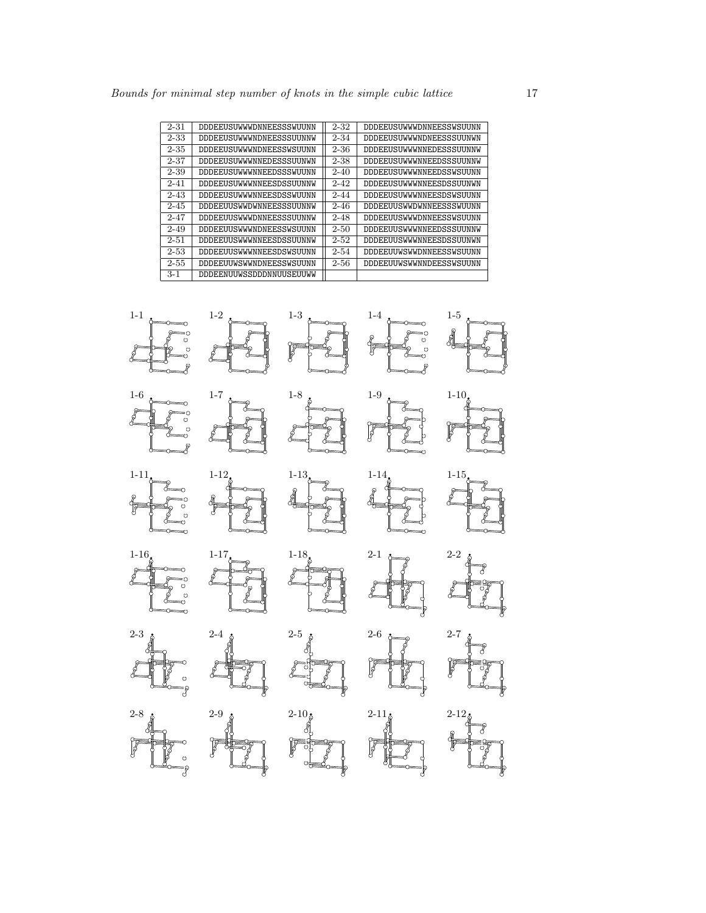| $2 - 31$ | DDDEEUSUWWWDNNEESSSWUUNN        | $2 - 32$ | DDDEEUSUWWWDNNEESSWSUUNN |
|----------|---------------------------------|----------|--------------------------|
| $2 - 33$ | <b>DDDEEUSUWWWNDNEESSSUUNNW</b> | $2 - 34$ | DDDEEUSUWWWNDNEESSSUUNWN |
| $2 - 35$ | DDDEEUSUWWWNDNEESSWSUUNN        | $2 - 36$ | DDDEEUSUWWWNEDESSSUUNNW  |
| $2 - 37$ | DDDEEUSUWWWNNEDESSSUUNWN        | $2 - 38$ | DDDEEUSUWWWNNEEDSSSUUNNW |
| $2 - 39$ | DDDEEUSUWWWNNEEDSSSWUUNN        | $2 - 40$ | DDDEEUSUWWWNNEEDSSWSUUNN |
| $2 - 41$ | DDDEEUSUWWWNNEESDSSUUNNW        | $2 - 42$ | DDDEEUSUWWWNNEESDSSUUNWN |
| $2 - 43$ | DDDEEUSUWWWNNEESDSSWUUNN        | $2 - 44$ | DDDEEUSUWWWNEESDSWSUUNN  |
| $2 - 45$ | <b>DDDEEUUSWWDWNNEESSSUUNNW</b> | $2 - 46$ | DDDEEUUSWWDWNNEESSSWUUNN |
| $2 - 47$ | DDDEEUUSWWWDNNEESSSUUNNW        | $2 - 48$ | DDDEEUUSWWWDNNEESSWSUUNN |
| $2 - 49$ | <b>DDDEEUUSWWWNDNEESSWSUUNN</b> | $2 - 50$ | DDDEEUUSWWWNNEEDSSSUUNNW |
| $2 - 51$ | DDDEEUUSWWWNNEESDSSUUNNW        | $2 - 52$ | DDDEEUUSWWWNNEESDSSUUNWN |
| $2 - 53$ | DDDEEUUSWWWNNEESDSWSUUNN        | $2 - 54$ | DDDEEUUWSWWDNNEESSWSUUNN |
| $2 - 55$ | <b>DDDEEUUWSWWNDNEESSWSUUNN</b> | $2 - 56$ | DDDEEUUWSWWNNDEESSWSUUNN |
| $3 - 1$  | DDDEENUUWSSDDDNNUUSEUUWW        |          |                          |

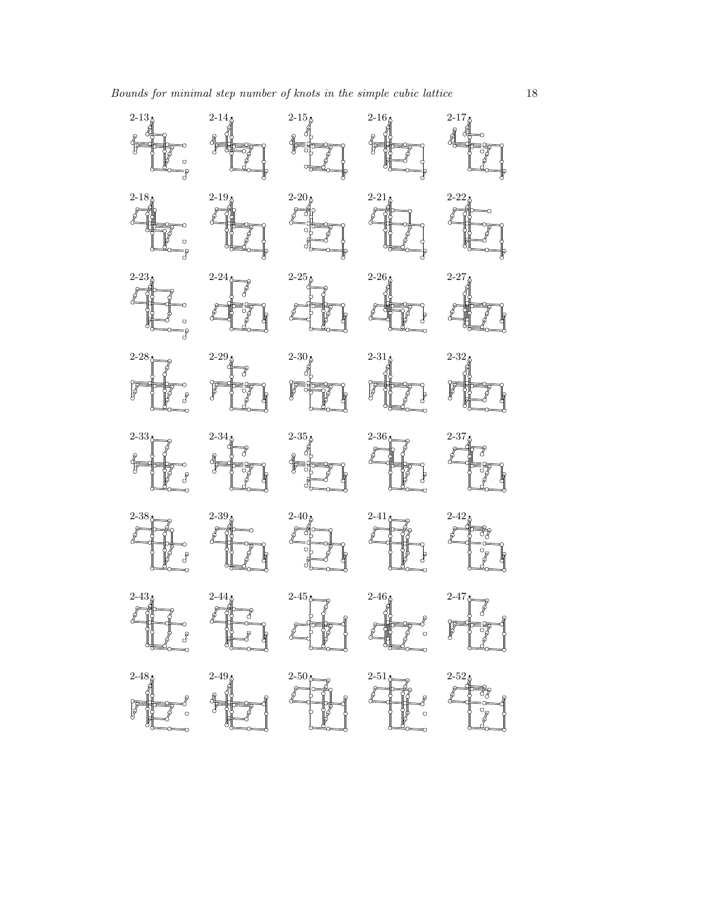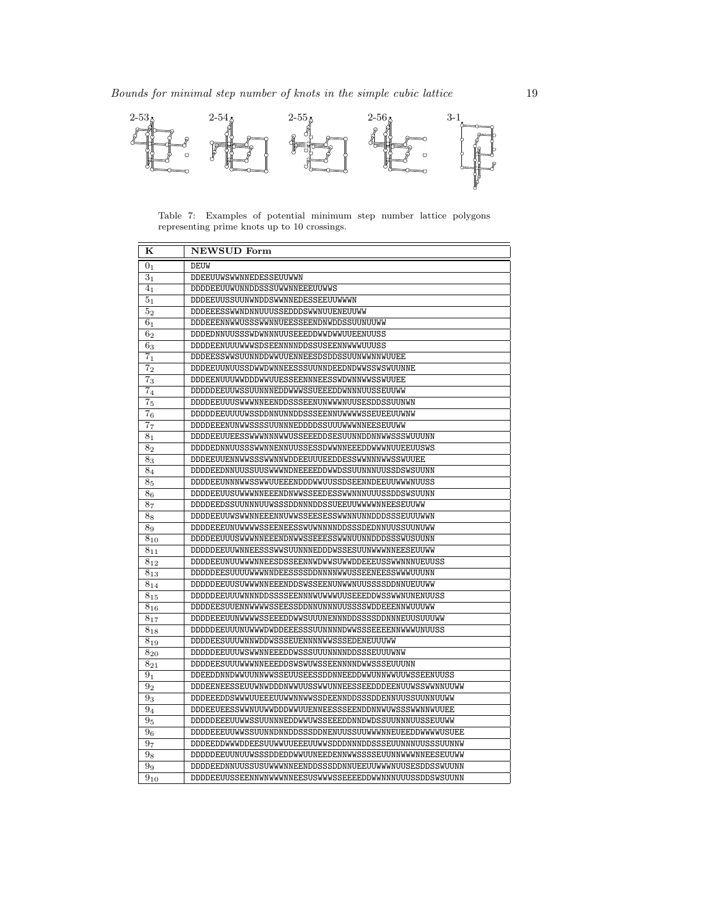

Table 7: Examples of potential minimum step number lattice polygons representing prime knots up to 10 crossings.

| ĸ                   | NEWSUD Form                                              |
|---------------------|----------------------------------------------------------|
| 0 <sub>1</sub>      | <b>DEUW</b>                                              |
| 3 <sub>1</sub>      | DDEEUUWSWWNNEDESSEUUWWN                                  |
| 4 <sub>1</sub>      | DDDDEEUUWUNNDDSSSUWWNNEEEUUWWS                           |
| 5 <sub>1</sub>      | DDDEEUUSSUUNWNDDSWWNNEDESSEEUUWWWN                       |
| $\overline{5}_2$    | DDDEEESSWWNDNNUUUSSEDDDSWWNUUENEUUWW                     |
| 6 <sub>1</sub>      | DDDEEENNWWUSSSWWNNUEESSEENDNWDDSSUUNUUWW                 |
| $\bar{6}_2$         | DDDEDNNUUSSSWDWNNNUUSEEEDDWWDWWUUEENUUSS                 |
| $\mathbf{6}_{3}$    | DDDDEENUUUWWWSDSEENNNNDDSSUSEENNWWWUUUSS                 |
| $\bf 7_1$           | DDDEESSWWSUUNNDDWWUUENNEESDSDDSSUUNWWNNWUUEE             |
| 7 <sub>2</sub>      | DDDEEUUNUUSSDWWDWNNEESSSUUNNDEEDNDWWSSWSWUUNNE           |
| $7_3$               | DDDEENUUUWWDDDWWUUESSEENNNEESSWDWNNWWSSWUUEE             |
| $\overline{7}_4$    | DDDDDEEUUWSSUUNNNEDDWWWSSUEEEDDWNNNUUSSEUUWW             |
| 7 <sub>5</sub>      | DDDDEEUUUSWWWNNEENDDSSSEENUNWWWNUUSESDDSSUUNWN           |
| $\bf 7_6$           | DDDDDEEUUUUWSSDDNNUNNDDSSSEENNUWWWWSSEUEEUUWNW           |
| 77                  | DDDDEEENUNWWSSSSUUNNNEDDDDSSUUUWWWNNEESEUUWW             |
| $\overline{8}_1$    | DDDDEEUUEESSWWWNNWWWSSEEEDDSESUUNNDDNNWWSSSWUUUNN        |
| $\bf 8_2$           | DDDDEDNNUUSSSWWNNENNUUSSESSDWWNNEEEDDWWWNUUEEUUSWS       |
| 83                  | DDDEEUUENNWWSSSWWNNWDDEEUUUEEDDESSWWNNNWWSSWUUEE         |
| $8_4$               | DDDDEEDNNUUSSUUSWWWNDNEEEEDDWWDSSUUNNNUUSSDSWSUUNN       |
| 8 <sub>5</sub>      | DDDDEEUNNNWWSSWWUUEEENDDDWWUUSSDSEENNDEEUUWWWNUUSS       |
| 86                  | DDDDEEUUSUWWWNNEEENDNWWSSEEDESSWWNNNUUUSSDDSWSUUNN       |
| $8_7\,$             | DDDDEEDSSUUNNNUUWSSSDDNNNDDSSUEEUUWWWWNNEESEUUWW         |
| $8\mathrm{s}$       | DDDDEEUUWSWWNNEEENNUWWSSEESESSWWNNUNNDDDSSSEUUUWWN       |
| 89                  | DDDDEEEUNUWWWSSEENEESSWUWNNNNDDSSSDEDNNUUSSUUNUWW        |
| $\overline{8}_{10}$ | DDDDEEUUUSWWWNNEEENDNWWSSEEESSWWNUUNNDDDSSSWUSUUNN       |
| $8_{11}$            | DDDDDEEUUWNNEESSSWWSUUNNNEDDDWSSESUUNWWWNNEESEUUWW       |
| $8_{12}$            | DDDDEEUNUUWWWNNEESDSSEENNWDWWSUWWDDEEEUSSWWNNNUEUUSS     |
| $8_{13}$            | DDDDDEESUUUUWWWNNDEESSSSDDNNNNWWUSSEENEESSWWWUUUNN       |
| $8_{14}$            | DDDDDEEUUSUWWWNNEEENDDSWSSEENUNWWNUUSSSSDDNNUEUUWW       |
| $8_{15}$            | DDDDDEEUUUWNNNDDSSSSEENNNWUWWWUUSEEEDDWSSWWNUNENUUSS     |
| $8_{16}$            | DDDDEESUUENNWWWSSEESSDDNNUNNNUUSSSSWDDEEENNWUUUWW        |
| $8_{17}$            | DDDDEEEUUNWWWSSEEEDDWWSUUUNENNNDDSSSSDDNNNEUUSUUUWW      |
| $8_{18}$            | DDDDDEEUUUNUWWWDWDDEEESSSUUNNNNDWWSSSEEEENNWWWUNUUSS     |
| $8_{19}$            | DDDDEESUUUWNNWDDWSSSEUENNNNWWSSSEDENEUUUWW               |
| $8_{\rm 20}$        | DDDDDEEUUUWSWWNNEEEDDWSSSUUUNNNNDDSSSEUUUWNW             |
| $8_{21}$            | DDDDEESUUUWWWNNEEEDDSWSWUWSSEENNNNDWWSSSEUUUNN           |
| 9 <sub>1</sub>      | DDEEDDNNDWWUUNNWWSSEUUSEESSDDNNEEDDWWUNNWWUUWSSEENUUSS   |
| 9 <sub>2</sub>      | DDDEENEESSEUUWNWDDDNWWUUSSWWUNNEESSEEDDDEENUUWSSWWNNUUWW |
| $\overline{9}_3$    | DDDEEEDDSWWWUUEEEUUWWNNWWSSDEENNDDSSSDDENNUUSSUUNNUUWW   |
| $\overline{9}_4$    | DDDEEUEESSWWNUUWWDDDWWUUENNEESSSEENDDNNWUWSSSWWNNWUUEE   |
| $9_{\rm 5}$         | DDDDDEEEUUWWSSUUNNNEDDWWUWSSEEEDDNNDWDSSUUNNNUUSSEUUWW   |
| $9\mathrm{6}$       | DDDDEEEUUWWSSUUNNDNNDDSSSDDNENUUSSUUWWWNNEUEEDDWWWWUSUEE |
| $9_7\,$             | DDDEEDDWWWDDEESUUWWUUEEEUUWWSDDDNNNDDSSSEUUNNNUUSSSUUNNW |
| $9\mathrm{s}$       | DDDDDEEUUNUUWSSSDDEDDWWUUNEEDENNWWSSSSEUUNNWWWNNEESEUUWW |
| $\overline{9}_9$    | DDDDEEDNNUUSSUSUWWWNNEENDDSSSDDNNUEEUUWWWNUUSESDDSSWUUNN |
| $\overline{9}_{10}$ | DDDDEEUUSSEENNWNWWWNNEESUSWWWSSEEEEDDWWNNNUUUSSDDSWSUUNN |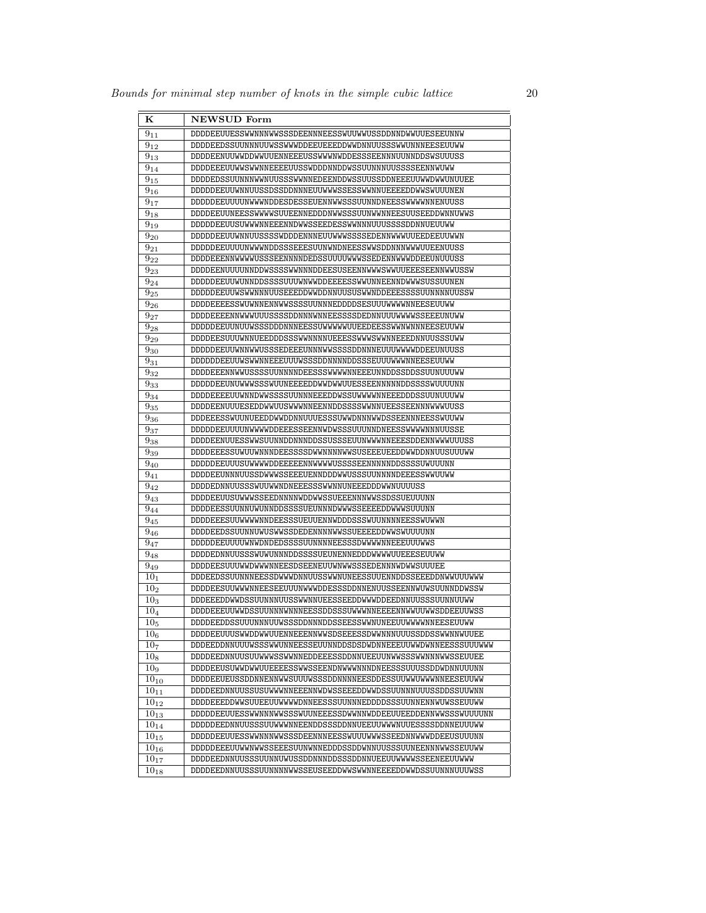| ĸ                            | NEWSUD Form                                                    |
|------------------------------|----------------------------------------------------------------|
| $9_{11}$                     | DDDDEEUUESSWWNNNWWSSSDEENNNEESSWUUWWUSSDDNNDWWUUESEEUNNW       |
| $9_{12}$                     | DDDDEEDSSUUNNNUUWSSWWWDDEEUEEEDDWWDNNUUSSSWWUNNNEESEUUWW       |
| $\mathbf{9}_{13}$            | DDDDEENUUWWDDWWUUENNEEEUSSWWWNWDDESSSEENNNUUNNDDSWSUUUSS       |
| $9_{14}$                     | DDDDEEEUUWWSWWNNEEEEUUSSWDDDNNDDWSSUUNNNUUSSSSEENNWUWW         |
| $9_{15}$                     | DDDDEDSSUUNNNWWNUUSSSWWNNEDEENDDWSSUUSSDDNEEEUUWWDWWUNUUEE     |
| $\mathbf{9}_{16}$            | DDDDDEEUUWNNUUSSDSSDDNNNEUUWWWSSESSWWNNUEEEEDDWWSWUUUNEN       |
| $9_{17}$                     | DDDDDEEUUUUNWWWNDDESDESSEUENNWWSSSUUNNDNEESSWWWWNNENUUSS       |
| $9_{18}$                     | DDDDEEUUNEESSWWWWSUUEENNEDDDNWWSSSUUNWWNNEESUUSEEDDWNNUWWS     |
| $9_{19}$                     | DDDDDEEUUSUWWWNNEEENNDWWSSEEDESSWWNNNUUUSSSSDDNNUEUUWW         |
| $9_{20}$                     | DDDDDEEUUWNNUUSSSSWDDDENNNEUUWWWSSSSEDENNWWWUUEEDEEUUWWN       |
| $9_{21}$                     | DDDDDEEUUUUNWWWNDDSSSEEESUUNWNDNEESSWWSDDNNNWWWUUEENUUSS       |
| $\bar{9}_{22}$               | DDDDEEENNWWWWUSSSEENNNNDEDSSUUUUWWWSSEDENNWWWDDEEUNUUUSS       |
| $9_{23}$                     | DDDDEENUUUUNNDDWSSSSWWNNNDDEESUSEENNWWWSWWUUEEESEENNWWUSSW     |
| $9_{24}$                     | DDDDDEEUUWUNNDDSSSSUUUWNWWDDEEEESSWWUNNEENNDWWWSUSSUUNEN       |
| $9_{25}$                     | DDDDDEEUUWSWWNNNUUSEEEDDWWDDNNUUSUSWWNDDEEESSSSUUNNNNUUSSW     |
| $9_{26}$                     | DDDDEEEESSWUWNNENNWWSSSSUUNNNEDDDDSESUUUWWWWNNEESEUUWW         |
| $9_{27}$                     | DDDDEEEENNWWWUUUSSSSDDNNNWNNEESSSSDEDNNUUUWWWWSSEEEUNUWW       |
| $9_{28}$                     | DDDDDEEUUNUUWSSSDDDNNNEESSUWWWWUUEEDEESSWWNWNNNEESEUUWW        |
| $9_{29}$                     | DDDDEESUUUWNNUEEDDDSSSWWNNNNUEEESSWWWSWWNNEEEDNNUUSSSUWW       |
| $9_{\color{red}30}$          | DDDDDEEUUWNNWWUSSSEDEEEUNNNWWSSSSDDNNNEUUUWWWWDDEEUNUUSS       |
| $9_{31}$                     | DDDDDDEEUUWSWWNNEEEUUUWSSSDDNNNNDDSSSEUUUWWWNNEESEUUWW         |
| $9_{32}$                     | DDDDEEENNWWUSSSSUUNNNNDEESSSWWWNNNEEEUNNDDSSDDSSUUNUUUWW       |
| 933                          | DDDDDEEUNUWWSSSWUUNEEEEDDWWDWWUUESSEENNNNNDDSSSSWUUUUNN        |
| $9_{34}$                     | DDDDEEEEUUWNNDWWSSSSUUNNNEEEDDWSSUWWWWNNEEEDDDSSUUNUUUWW       |
| $9_{35}$                     | DDDDEENUUUESEDDWWUUSWWWNNEENNDDSSSSWWNNUEESSEENNNWWWUUSS       |
| $\bar{9}_{36}$               | DDDEEESSWUUNUEEDDWWDDNNUUUESSSUWWDNNNWWDSSEENNNEESSWUUWW       |
| $9_{37}$                     | DDDDDEEUUUUNWWWWDDEEESSEENNWDWSSSUUUNNDNEESSWWWWNNNUUSSE       |
| $9_{38}$                     | DDDDEENUUESSWWSUUNNDDNNNDDSSUSSSEUUNWWWNNEEESDDENNWWWUUUSS     |
| $9_{39}$                     | DDDDEEESSUWUUWNNNDEESSSSDWWNNNNWWSUSEEEUEEDDWWDDNNUUSUUUWW     |
| $9_{40}$                     | DDDDDEEUUUSUWWWDDEEEEENNWWWWUSSSSEENNNNNDDSSSSUWUUUNN          |
| $\overline{9}_{41}$          | DDDDEEUNNNUUSSDWWWSSEEEUENNDDDWWUSSSUUNNNNDEEESSWWUUWW         |
| $9_{42}$                     | DDDDEDNNUUSSSWUUWWNDNEEESSSWWNNUNEEEDDDWWNUUUUSS               |
| $9_{43}$                     | DDDDEEUUSUWWWSSEEDNNNNWDDWWSSUEEENNNWWSSDSSUEUUUNN             |
| $9_{44}$                     | DDDDEESSUUNNUWUNNDDSSSSUEUNNNDWWWSSEEEEDDWWWSUUUNN             |
| $9_{45}$                     | DDDDEEESUUWWWWNNDEESSSUEUUENNWDDDSSSWUUNNNNEESSWUWWN           |
| $9_{46}$                     | DDDDEEDSSUUNNUWUSWWSSDEDENNNNWWSSUEEEEDDWWSWUUUUNN             |
| $9_{47}$                     | DDDDDEEUUUUWNWDNDEDSSSSUUNNNNEESSSDWWWWNNEEEUUUWWS             |
| $9_{48}$                     | DDDDEDNNUUSSSWUWUNNNDDSSSSUEUNENNEDDDWWWWUUEEESEUUWW           |
| $9_{49}$                     | DDDDEESUUUWWDWWWNNEESDSEENEUUWNWWSSSEDENNNWDWWSUUUEE           |
| $10_{1}$                     | DDDEEDSSUUNNNEESSDWWWDNNUUSSWWNUNEESSUUENNDDSSEEEDDNWWUUUWW    |
| $10_{2}$                     | DDDDEESUUWWWNNEESEEUUUNWWWDDESSSDDNNENUUSSEENNWUWSUUNNDDWSSW   |
| 10 <sub>3</sub>              | DDDEEEDDWWDSSUUNNNUUSSWWNNUEESSEEDDWWWDDEEDNNUUSSSUUNNUUWW     |
| $10_4$                       | DDDDEEEUUWWDSSUUNNNWNNNNEESSDDSSSUWWWNNEEEENNWWUUWWSDDEEUUWSS  |
| $\overline{10}_5$            | DDDDEEDDSSUUUNNNUUWSSSDDNNNDDSSEESSWWNUNEEUUWWWWNNEESEUUWW     |
| 10 <sub>6</sub>              | DDDDEEUUUSWWDDWWUUENNEEENNWWSDSEEESSDWWNNNUUUSSDDSSWWNNWUUEE   |
| $\overline{10}$ <sub>7</sub> | DDDEEDDNNUUUWSSSWWUNNEESSEUUNNDDSDSDWDNNEEEUUWWDWNNEESSSUUUWWW |
| 10 <sub>8</sub>              | DDDDEEDNNUUSUUWWWSSWWNNEDDEEESSDDNNUEEUUNWWSSSWWNNNWWSSEUUEE   |
| 10 <sub>9</sub>              | DDDDEEUSUWWDWWUUEEEESSWWSSEENDNWWWNNNDNEESSSUUUSSDDWDNNUUUNN   |
| $10_{10}$                    | DDDDEEUEUSSDDNNENNWWSUUUWSSSDDNNNNEESDDESSUUWWUWWNNEESEUUWW    |
| $10_{11}$                    | DDDDEEDNNUUSSUSUWWWNNEEENNWDWSSEEEDDWWDSSUUNNNUUUSSDDSSUUWNN   |
| $10_{12}$                    | DDDDEEEDDWWSUUEEUUWWWWDNNEESSSUUNNNEDDDDSSSUUNNENNWUWSSEUUWW   |
| $10_{13}$                    | DDDDDEEUUESSWWNNNWWSSSWUUNEEESSDWWNNWDDEEUUEEDDENNWWSSSWUUUUNN |
| $10_{14}$                    | DDDDDEEDNNUUSSSUUWWWNNEENDDSSSDDNNUEEUUWWWNUUESSSSDDNNEUUUWW   |
| $10_{15}$                    | DDDDDEEUUESSWWNNNWWSSSDEENNNEESSWUUUWWWSSEEDNNWWWDDEEUSUUUNN   |
| $10_{16}$                    | DDDDDEEEUUWWNWWSSEEESUUNWNNEDDDSSDDWNNUUSSSUUNEENNNWWSSEUUWW   |
| $10_{17}$                    | DDDDEEDNNUUSSSUUNNUWUSSDDNNNDDSSSDDNNUEEUUWWWWSSEENEEUUWWW     |
| $10_{18}$                    | DDDDEEDNNUUSSSUUNNNNWWSSEUSEEDDWWSWWNNEEEEDDWWDSSUUNNNUUUWSS   |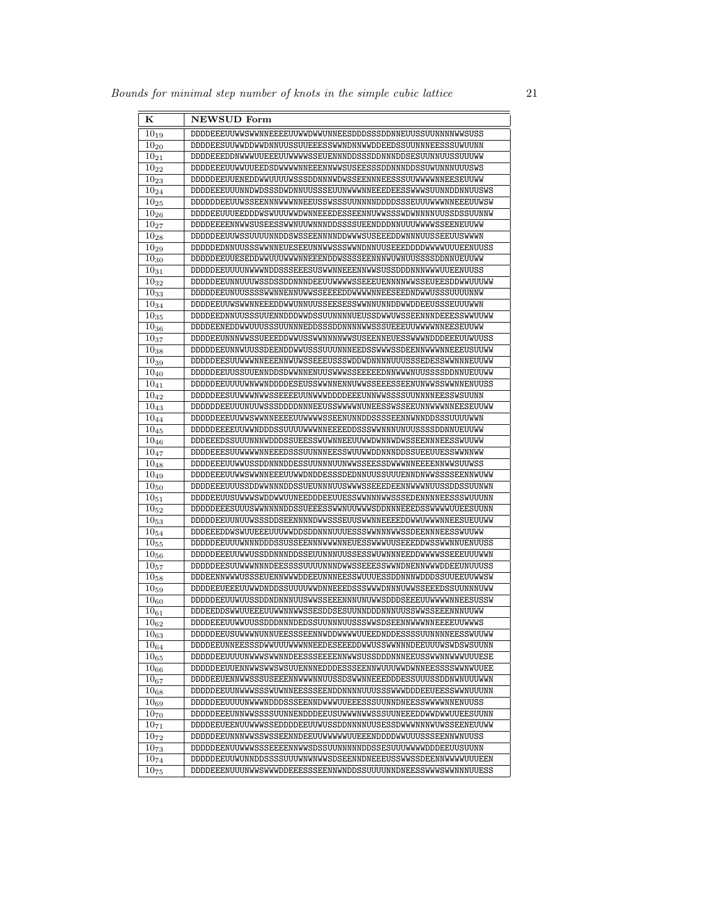| $\bf K$              | <b>NEWSUD</b> Form                                             |
|----------------------|----------------------------------------------------------------|
| $\overline{10}_{19}$ | DDDDEEEUUWWSWWNNEEEEUUWWDWWUNNEESDDDSSSDDNNEUUSSUUNNNNWWSUSS   |
| $10_{20}$            | DDDDEESUUWWDDWWDNNUUSSUUEEESSWWNDNNWWDDEEDSSUUNNNEESSSUWUUNN   |
| $10_{21}$            | DDDDEEEDDNWWWUUEEEUUWWWWSSEUENNNDDSSSDDNNNDDSESUUNNUUSSUUUWW   |
| $10_{22}$            | DDDDEEEUUWWUUEEDSDWWWWNNEEENNWWSUSEESSSDDNNNDDSSUWUNNNUUUSWS   |
| $10_{23}$            | DDDDDEEUUENEDDWWUUUUWSSSDDNNNWDWSSEENNNEESSSUUWWWWNNEESEUUWW   |
| $\overline{10}_{24}$ | DDDDEEEUUUNNDWDSSSDWDNNUUSSSEUUNWWWNNEEEDEESSWWWSUUNNDDNNUUSWS |
| $10_{25}$            | DDDDDDEEUUWSSEENNNWWWNNEEUSSWSSSUUNNNNDDDDSSSEUUUWWWNNEEEUUWSW |
| $\overline{10}_{26}$ | DDDDEEUUUEEDDDWSWUUUWWDWNNEEEDESSEENNUWWSSSWDWNNNNUUSSDSSUUNNW |
| $10_{27}$            | DDDDEEEENNWWSUSEESSWWNUUWNNNDDSSSSUEENDDDNNUUUWWWWSSEENEUUWW   |
| $10_{28}$            | DDDDDEEUUWSSUUUUNNDDSWSSEENNNNDDWWWSUSEEEDDWNNNUUSSEEUUSWWWN   |
| $\overline{10}_{29}$ | DDDDDEDNNUUSSSWWNNEUESEEUNNWWSSSWWNDNNUUSEEEDDDDWWWWUUUEENUUSS |
| $10_{30}$            | DDDDDEEUUESEDDWWUUUWWWNNEEENDDWSSSSEENNNWUWNUUSSSSDDNNUEUUWW   |
| $10_{31}$            | DDDDDEEUUUUNWWWNDDSSSEEESUSWWNNEEENNWWSUSSDDDNNNWWWUUEENUUSS   |
| $10_{32}$            | DDDDDEEUNNUUUWSSDSSDDNNNDEEUUWWWSSEEEUENNNNWWSSEUEESDDWWUUWW   |
| $10_{33}$            | DDDDDEEUNUUSSSSWWNNENNUWWSSEEEEDDWWWWNNEESEEDNDWWUSSSUUUUNNW   |
| $10_{34}$            | DDDDEEUUWSWWNNEEEDDWWUNNUUSSEESESSWWNNUNNDDWWDDEEUSSSEUUUWWN   |
| $10_{35}$            | DDDDEEDNNUUSSSUUENNDDDWWDSSUUNNNNUEUSSDWWUWSSEENNNDEEESSWWUUWW |
| $\overline{10}_{36}$ | DDDDEENEDDWWUUUSSSUUNNNEDDSSSDDNNNNWWSSSUEEEUUWWWWNNEESEUUWW   |
| $\overline{10}_{37}$ | DDDDEEUNNNWWSSUEEEDDWWUSSWWNNNNWWSUSEENNEUESSWWWNDDDEEEUUWUUSS |
| $10_{38}$            | DDDDDEEUNNWUUSSDEENDDWWUSSSUUUNNNEEDSSWWWSSDEENNWWWNNEEEUSUUWW |
| $10_{39}$            | DDDDDEESUUWWWNNEEENNWUWSSEEEUSSSWDDWDNNNNUUUSSSEDESSWWNNNEUUWW |
| $10_{40}$            | DDDDDEEUUSSUUENNDDSDWWNNENUUSWWWSSEEEEEDNNWWWNUUSSSSDDNNUEUUWW |
| $10_{41}$            | DDDDDEEUUUUWNWWNDDDDESEUSSWWNNENNUWWSSEEESSEENUNWWSSWWNNENUUSS |
| $10_{42}$            | DDDDDEESUUWWWNWSSEEEEUUNWWWDDDDEEEUNNWWSSSSUUNNNNEESSWSUUNN    |
| $10_{43}$            | DDDDDDEEUUUNUWSSSDDDDNNNEEUSSWWWNUNEESSWSSEEUNNWWWNNEESEUUWW   |
| $10_{44}$            | DDDDDEEEUUWWSWWNNEEEEUUWWWWSSEENUNNDDSSSSEENNWNNDDSSSUUUUWWN   |
| $10_{45}$            | DDDDDEEEEUUWWNDDDSSUUUUWWWNNEEEEDDSSSWWNNNUNUUSSSSDDNNUEUUWW   |
| $10_{46}$            | DDDEEEDSSUUUNNNWDDDSSUEESSWUWNNEEUUWWDWNNWDWSSEENNNEESSWUUWW   |
| $10_{47}$            | DDDDEEESUUWWWWNNEEEDSSSUUNNNEESSWUUWWDDNNNDDSSUEEUUESSWWNNWW   |
| $10_{48}$            | DDDDEEEUUWWUSSDDNNNDDESSUUNNNUUNWWSSEESSDWWWNNEEEENNWWSUUWSS   |
| $10_{49}$            | DDDDEEEUUWWSWWNNEEEUUWWDNDDESSSDEDNNUUSSUUUENNDNWWSSSSEENNWUWW |
| $10_{50}$            | DDDDEEEUUUSSDDWWNNNDDSSUEUNNNUUSWWWSSEEEDEENNWWWNUUSSDDSSUUNWN |
| $10_{51}$            | DDDDEEUUSUWWWSWDDWWUUNEEDDDEEUUESSWWNNNWWSSSEDENNNNEESSSWUUUNN |
| $10_{52}$            | DDDDDEEESUUUSWWNNNNDDSSUEEESSWWNUUWWWSDDNNNEEEDSSWWWWUUEESUUNN |
| $10_{53}$            | DDDDDEEUUNUUWSSSDDSEENNNNDWWSSSEUUSWWNNEEEEDDWWUWWWNNEESUEUUWW |
| $10_{54}$            | DDDEEEDDWSWUUEEEUUUWWDDSDDNNNUUUESSSWWNNNWWSSDEENNNEESSWUUWW   |
| $10_{55}$            | DDDDDEEUUUWNNNDDDSSUSSEENNNWWWNNEUESSWWWUUSEEEDDWSSWWNNUENUUSS |
| $\overline{10}_{56}$ | DDDDDEEEUUWWUSSDDNNNDDSSEUUNNNUUSSESSWUWNNNEEDDWWWWSSEEEUUUWWN |
| $10_{57}$            | DDDDDEESUUWWWNNNDEESSSSUUUUNNNDWWSSEEESSWWNDNENNWWWDDEEUNUUUSS |
| $10_{58}$            | DDDEENNWWWUSSSEUENNWWWDDEEUNNNEESSWUUUESSDDNNNWDDDSSUUEEUUWWSW |
| $10_{59}$            | DDDDEEUEEEUUWWDNDDSSUUUUWWDNNEEEDSSSWWWDNNNUWWSSEEEDSSUUNNNUWW |
| $10_{60}$            | DDDDDEEUUWUUSSDDNDNNNUUSWWSSEEENNNUNUWWSDDDSEEEUUWWWWNNEESUSSW |
| $\bar{1}0_{61}$      | DDDEEDDSWWUUEEEUUWWNNWWSSESDDSESUUNNDDDNNNUUSSWWSSEEENNNUUWW   |
| $\overline{10}_{62}$ | DDDDEEEUUWWUUSSDDDNNNDEDSSUUNNNUUSSSWWSDSEENNWWWNNEEEEUUWWWS   |
| $10_{63}$            | DDDDDEEUSUWWWNUNNUEESSSEENNWDDWWWWUUEEDNDDESSSSUUNNNNEESSWUUWW |
| $10_{64}$            | DDDDEEUNNEESSSDWWUUUWWWNNEEDESEEEDDWWUSSWWNNNDEEUUUWSWDSWSUUNN |
| $10_{65}$            | DDDDDEEUUUUNWWSWWNNDEESSSEEEENNWWSUSSDDDNNNEEUSSWWNNWWWUUUESE  |
| $10_{66}$            | DDDDDEEUUENNWWSWWSWSUUENNNEDDDESSSEENNWUUUWWDWNNEESSSSWWNWUUEE |
| $10_{67}$            | DDDDEEUENNWWSSSUSEEENNWWWNNUUSSDSWWNNEEEDDDESSUUUSSDDNWNUUUWWN |
| $10_{68}$            | DDDDDEEUUNWWWSSSWUWNNEESSSEENDDNNNNUUUSSSWWWDDDEEUEESSWWNUUUNN |
| $10_{69}$            | DDDDDEEUUUUNWWWNDDDSSSEENNDWWWUUEEESSSUUNNDNEESSWWWWNNENUUSS   |
| $10_{70}$            | DDDDDEEEUNNWWSSSSUUNNENDDDEEUSUWWWNWWSSSUUNEEEDDWWDWWUUEESUUNN |
| $10_{71}$            | DDDDEEUEENUUWWWSSEDDDDEEUUWUSSDDNNNNUUSESSDWWWNNNWUWSSEENEUUWW |
| $10_{72}$            | DDDDDEEUNNNWWSSWSSEENNDEEUUWWWWWUUEEENDDDDWWUUUSSSEENNWNUUSS   |
| $10_{73}$            | DDDDDEENUUWWSSSEEEEENNWWSDSSUUNNNNNDDSSESUUUWWWWDDDEEUUSUUNN   |
| $10_{74}$            | DDDDDEEUUWUNNDDSSSSUUUWNWNWWSDSEENNDNEEEUSSWWSSDEENNWWWWUUUEEN |
| $10_{75}$            | DDDDEEENUUUNWWSWWDDEEESSSEENNWNDDSSUUUUNNDNEESSWWWSWWNNNUUESS  |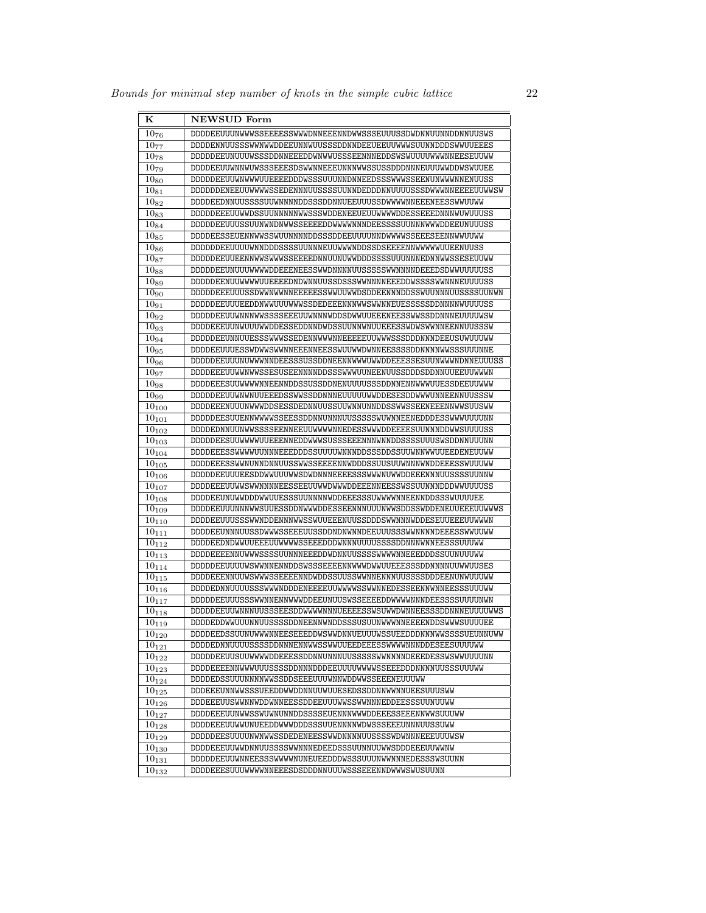| $\bf K$               | <b>NEWSUD Form</b>                                               |
|-----------------------|------------------------------------------------------------------|
| $10_{76}$             | DDDDEEUUUNWWWSSEEEESSWWWDNNEEENNDWWSSSEUUUSSDWDNNUUNNDDNNUUSWS   |
| $10_{77}$             | DDDDENNUUSSSWWNWWDDEEUNNWUUSSSDDNNDEEUEEUUWWWSUUNNDDDSWWUUEEES   |
| $10_{78}$             | DDDDDEEUNUUUWSSSDDNNEEEDDWNWWUSSSEENNNEDDSWSWUUUUWWWNNEESEUUWW   |
| $10_{79}$             | DDDDEEUUWNNWUWSSSEEESDSWWNNEEEUNNNWWSSUSSDDDNNNEUUUWWDDWSWUUEE   |
| $10_{80}$             | DDDDDEEUUWNWWWUUEEEEDDDWSSSUUUNNDNNEEDSSSWWWSSEENUNWWWNNENUUSS   |
| $\overline{10}_{81}$  | DDDDDDENEEUUWWWWSSEDENNNUUSSSSUUNNDEDDDNNUUUUSSSDWWWNNEEEEUUWWSW |
| $10_{82}$             | DDDDEEDNNUUSSSSUUWNNNNDDSSSDDNNUEEUUUSSDWWWWNNEEENEESSWWUUWW     |
| $\overline{10}_{83}$  | DDDDDEEEUUWWDSSUUNNNNNWWSSSWDDENEEUEUUWWWWDDESSEEEDNNNWUWUUUSS   |
| $\overline{10}_{84}$  | DDDDDEEUUUSSUUNWNDNWWSSEEEEDDWWWWNNNDEESSSSUUNNNWWWDDEEUNUUUSS   |
| $10_{85}$             | DDDDEESSEUENNWWSSWUUNNNNDDSSSDDEEUUUUNNDWWWWSSEEESEENNWWUUWW     |
| $\overline{10}_{86}$  | DDDDDDEEUUUUWNNDDDSSSSUUNNNEUUWWWNDDSSDSEEEENNWWWWWUUEENUUSS     |
| $\overline{10}_{87}$  | DDDDDEEUUEENNWWSWWWSSEEEEDNNUUNUWWDDDSSSSUUUNNNEDNNWWSSESEUUWW   |
| 1088                  | DDDDDEEUNUUUWWWWDDEEENEESSWWDNNNNUUSSSSSWWNNNNDEEEDSDWWUUUUUSS   |
| $10_{89}$             | DDDDDEENUUWWWWUUEEEEDNDWNNUUSSDSSSWWNNNNEEEDDWSSSSWWNNNEUUUUSS   |
| $10_{90}$             | DDDDDEEEUUUSSDWWNWWNNEEEEESSWWUUWWDSDDEENNNDDSSWUUNNNUUSSSSUUNWN |
| $10_{91}$             | DDDDDEEUUUEEDDNWWUUUWWWSSDEDEEENNNWWSWWNNEUESSSSSDDNNNNWUUUUSS   |
| $10_{92}$             | DDDDDEEUUWNNNWWSSSSEEEUUWNNNWDDSDWWUUEEENEESSWWSSDDNNNEUUUUWSW   |
| $10_{93}$             | DDDDEEEUUNWUUUWWDDESSEDDNNDWDSSUUNNWNUUEEESSWDWSWWNNEENNUUSSSW   |
| 1094                  | DDDDDEEUNNUUESSSWWWSSEDENNWWWNNEEEEEUUWWWSSSDDDNNNDEEUSUWUUWW    |
| $\overline{10}_{95}$  | DDDDEEUUUESSWDWWSWWNNEEENNEESSWUUWWDWNNEESSSSDDNNNNWWSSSUUUNNE   |
| $\overline{10}_{96}$  | DDDDDEEUUUNUWWWNNDEESSSUSSDDNEENNWWWWWDDEEESSESUUNWWWNDNNEUUUSS  |
| 1097                  | DDDDEEEUUWWNWWSSESUSEENNNNDDSSSWWWUUNEENUUSSDDDSDDNNUUEEUUWWWN   |
| $10_{98}$             | DDDDEEESUUWWWWNNEENNDDSSUSSDDNENUUUUSSSDDNNENNWWWUUESSDEEUUWWW   |
| 10 <sub>99</sub>      | DDDDDEEUUWNWNUUEEEDSSWWSSDDNNNEUUUUUWWDDESESDDWWWUNNEENNUUSSSW   |
| $10_{100}$            | DDDDEEENUUUNWWWDDSESSDEDNNUUSSUUWNNUNNDDSSWWSSEENEEENNWWSUUSWW   |
| $\overline{10}_{101}$ | DDDDDEESUUENNWWWSSEESSDDNNUNNNUUSSSSSWUWNNEENEDDDESSWWWUUUUNN    |
| $\overline{10_{102}}$ | DDDDEDNNUUNWWSSSSEENNEEUUWWWWNNEDESSWWWDDEEEESUUNNNDDWWSUUUUSS   |
| $\overline{10}_{103}$ | DDDDDEESUUWWWWUUEEENNEDDWWWSUSSSEEENNNWNNDDSSSSUUUSWSDDNNUUUNN   |
| $\overline{10}_{104}$ | DDDDEEESSWWWWUUNNNEEEDDDSSUUUUWNNNDDSSSDDSSUUWNNWWUUEEDENEUUWW   |
| $10_{105}$            | DDDDEEESSWWNUNNDNNUUSSWWSSEEEENNWDDDSSUUSUUWNNNWNDDEEESSWUUUWW   |
| $\overline{10}_{106}$ | DDDDDEEUUUEESDDWWUUWWSDWDNNNEEEESSSWWWNUWWDDEEENNNUUSSSSUUNNW    |
| $10_{107}$            | DDDDEEEUUWWSWWNNNNEESSEEUUWWDWWWDDEEENNEESSWSSUUNNNDDDWWUUUUSS   |
| $10_{108}$            | DDDDEEUNUWWDDDWWUUESSSUUNNNNWDDEEESSSUWWWWNNEENNDDSSSWUUUUEE     |
| $10_{109}$            | DDDDEEUUUNNNWWSUUESSDDNWWWDDESSEENNNUUUNWWSDDSSWDDENEUUEEEUUWWWS |
| $\overline{10}_{110}$ | DDDDEEUUUSSSWWNDDENNNWWSSWUUEEENUUSSDDDSWWNNNWDDESEUUEEEUUWWWN   |
| $10_{111}$            | DDDDEEUNNNUUSSDWWWSSEEEUUSSDDNDNWNNDEEUUUSSSWWNNNNDEEESSWWUUWW   |
| $10_{112}$            | DDDDEEDNDWWUUEEEUUWWWSSEEEDDDWNNNUUUUSSSSDDNNNWNNEESSSUUUWW      |
| $10_{113}$            | DDDDEEEENNUWWWSSSSUUNNNEEEDDWDNNUUSSSSWWWWNNEEEDDDSSUUNUUUWW     |
| $10_{114}$            | DDDDDEEUUUUWSWWNNENNDDSWSSSEEEENNWWWDWWUUEEESSSDDNNNNUUWWUUSES   |
| $10_{115}$            | DDDDEEENNUUWSWWWSSEEEENNDWDDSSUUSSWWNNENNNUUSSSSDDDEENUNWUUUWW   |
| $10_{116}$            | DDDDEDNNUUUUSSSWWWNDDDENEEEEUUWWWSSWWNNEDESSEENNWNNEESSSUUUWW    |
| $\overline{10}_{117}$ | DDDDDEEUUUSSSWWNNENNWWWDDEEUNUUSWSSEEEEDDWWWWNNNDEESSSSUUUUNWN   |
| $10_{118}$            | DDDDDEEUUWNNNUUSSSEESDDWWWWNNNUEEEESSWSUWWDWNNEESSSDDNNNEUUUUWWS |
| $\overline{10}_{119}$ | DDDDEDDWWUUUNNUUSSSSDDNEENNWNDDSSSUSUUNWWWNNEEEENDDSWWWSUUUUEE   |
| $10_{120}$            | DDDDEEDSSUUNUWWWNNEESEEEDDWSWWDNNUEUUUWSSUEEDDDNNNWWSSSSUEUNNUWW |
| $10_{121}$            | DDDDEDNNUUUUSSSSDDNNNENNWWSSWWUUEEDEEESSWWWWNNNDDESEESUUUUWW     |
| $10_{122}$            | DDDDDEEUUSUUWWWWDDEEESSDDNNUNNNUUSSSSSWWNNNNDEEEDESSWSWWUUUUNN   |
| $10_{123}$            | DDDDEEEENNWWWUUSSSSDDNNNDDDEEUUUUWWWSSEEEDDDNNNNUUSSSUUUWW       |
| $10_{124}$            | DDDDEDSSUUUNNNNWWSSDDSEEEUUUWNNWDDWWSSEEENEUUUWW                 |
| $10_{125}$            | DDDEEEUNNWWSSSUEEDDWWDDNNUUWUUESEDSSDDNNWWNNUEESUUUSWW           |
| $10_{126}$            | DDDEEEUUSWWNNWDDWNNEESSDDEEUUUWWSSWWNNNEDDEESSSUUNUUWW           |
| $10_{127}$            | DDDDEEEUUNWWSSWUWNUNNDDSSSSEUENNNWWWDDEEESSEEENNWWSUUUWW         |
| $10_{128}$            | DDDDEEEUUWWUNUEEDDWWWDDDSSSUUENNNNWDWSSSEEEUNNNUUSSUWW           |
| $10_{129}$            | DDDDDEESUUUUNWNWWSSDEDENEESSWWDNNNNUUSSSSWDWNNNEEEUUUWSW         |
| $10_{130}$            | DDDDEEEUUWWDNNUUSSSSWWNNNEDEEDSSSUUNNUUWWSDDDEEEUUWWNW           |
| $10_{131}$            | DDDDDEEUUWNNEESSSWWWWNUNEUEEDDDWSSSUUUNWWNNNEDESSSWSUUNN         |
| $10_{132}$            | DDDDEEESUUUWWWWNNEEESDSDDDNNUUUWSSSEEENNDWWWSWUSUUNN             |